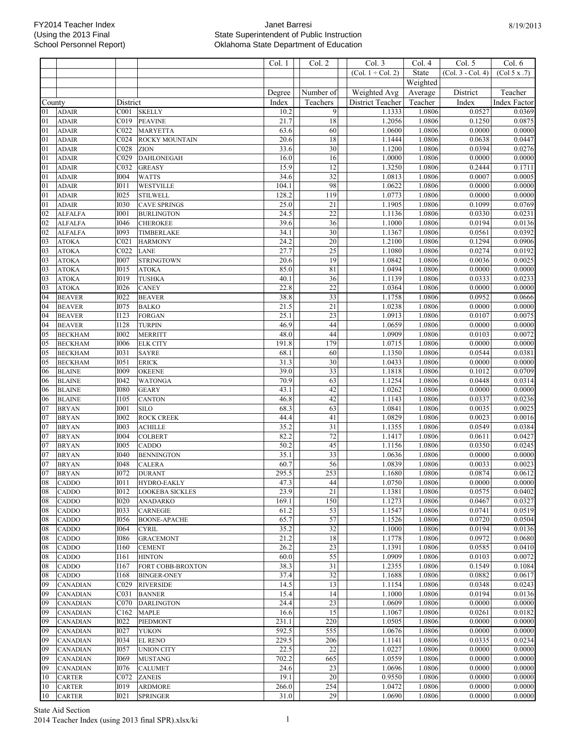Col. 1 | | Col. 2 | | Col. 3 | Col. 4 | Col. 5 | Col. 6

|          |                                |                            |                                      |               |                       | $(Col. 1 \div Col. 2)$ | State            | $(Col. 3 - Col. 4)$ | (Col 5 x .7)        |
|----------|--------------------------------|----------------------------|--------------------------------------|---------------|-----------------------|------------------------|------------------|---------------------|---------------------|
|          |                                |                            |                                      |               |                       |                        | Weighted         |                     |                     |
|          |                                |                            |                                      | Degree        | Number of             | Weighted Avg           | Average          | District            | Teacher             |
| County   |                                | District                   |                                      | Index         | Teachers              | District Teacher       | Teacher          | Index               | <b>Index Factor</b> |
| 01       | <b>ADAIR</b>                   | C <sub>001</sub>           | <b>SKELLY</b>                        | 10.2          | 9                     | 1.1333                 | 1.0806           | 0.0527              | 0.0369              |
| 01       | <b>ADAIR</b>                   | C019                       | <b>PEAVINE</b>                       | 21.7          | 18                    | 1.2056                 | 1.0806           | 0.1250              | 0.0875              |
| 01       | <b>ADAIR</b>                   | C022                       | <b>MARYETTA</b>                      | 63.6          | 60                    | 1.0600                 | 1.0806           | 0.0000              | 0.0000              |
| 01       | <b>ADAIR</b>                   | CO <sub>24</sub>           | ROCKY MOUNTAIN                       | 20.6          | 18                    | 1.1444                 | 1.0806           | 0.0638              | 0.0447              |
| $_{01}$  | <b>ADAIR</b>                   | C <sub>028</sub>           | ZION                                 | 33.6          | $\overline{30}$       | 1.1200                 | 1.0806           | 0.0394              | 0.0276              |
| 01       | <b>ADAIR</b>                   | C029                       | <b>DAHLONEGAH</b>                    | 16.0          | 16                    | 1.0000                 | 1.0806           | 0.0000              | 0.0000              |
| 01       | <b>ADAIR</b>                   | C032                       | <b>GREASY</b>                        | 15.9          | $\overline{12}$       | 1.3250                 | 1.0806           | 0.2444              | 0.1711              |
| 01       | <b>ADAIR</b>                   | <b>I004</b>                | <b>WATTS</b>                         | 34.6          | 32                    | 1.0813                 | 1.0806           | 0.0007              | 0.0005              |
| $_{01}$  | <b>ADAIR</b>                   | I011                       | <b>WESTVILLE</b>                     | 104.1         | 98                    | 1.0622                 | 1.0806           | 0.0000              | 0.0000              |
| 01       | <b>ADAIR</b>                   | <b>I025</b>                | <b>STILWELL</b>                      | 128.2         | 119                   | 1.0773                 | 1.0806           | 0.0000              | 0.0000              |
| 01       | <b>ADAIR</b>                   | <b>I030</b>                | <b>CAVE SPRINGS</b>                  | 25.0          | 21<br>$\overline{22}$ | 1.1905                 | 1.0806           | 0.1099              | 0.0769              |
| 02       | <b>ALFALFA</b>                 | <b>I001</b>                | <b>BURLINGTON</b>                    | 24.5          |                       | 1.1136                 | 1.0806           | 0.0330              | 0.0231              |
| 02<br>02 | <b>ALFALFA</b>                 | <b>I046</b><br><b>I093</b> | <b>CHEROKEE</b><br><b>TIMBERLAKE</b> | 39.6<br>34.1  | 36<br>$\overline{30}$ | 1.1000<br>1.1367       | 1.0806<br>1.0806 | 0.0194<br>0.0561    | 0.0136<br>0.0392    |
| 03       | <b>ALFALFA</b><br><b>ATOKA</b> | CO <sub>21</sub>           | <b>HARMONY</b>                       | 24.2          | $\overline{20}$       | 1.2100                 | 1.0806           | 0.1294              | 0.0906              |
| 03       | <b>ATOKA</b>                   | C <sub>022</sub>           | LANE                                 | 27.7          | 25                    | 1.1080                 | 1.0806           | 0.0274              | 0.0192              |
| 03       | <b>ATOKA</b>                   | <b>I007</b>                | <b>STRINGTOWN</b>                    | 20.6          | 19                    | 1.0842                 | 1.0806           | 0.0036              | 0.0025              |
| 03       | <b>ATOKA</b>                   | <b>I015</b>                | <b>ATOKA</b>                         | 85.0          | 81                    | 1.0494                 | 1.0806           | 0.0000              | 0.0000              |
| 03       | <b>ATOKA</b>                   | <b>I019</b>                | <b>TUSHKA</b>                        | 40.1          | 36                    | 1.1139                 | 1.0806           | 0.0333              | 0.0233              |
| 03       | <b>ATOKA</b>                   | <b>I026</b>                | <b>CANEY</b>                         | 22.8          | $\overline{22}$       | 1.0364                 | 1.0806           | 0.0000              | 0.0000              |
| 04       | <b>BEAVER</b>                  | <b>I022</b>                | <b>BEAVER</b>                        | 38.8          | 33                    | 1.1758                 | 1.0806           | 0.0952              | 0.0666              |
| 04       | <b>BEAVER</b>                  | <b>I075</b>                | <b>BALKO</b>                         | 21.5          | 21                    | 1.0238                 | 1.0806           | 0.0000              | 0.0000              |
| 04       | <b>BEAVER</b>                  | <b>I123</b>                | <b>FORGAN</b>                        | 25.1          | $\overline{23}$       | 1.0913                 | 1.0806           | 0.0107              | 0.0075              |
| 04       | <b>BEAVER</b>                  | <b>I128</b>                | <b>TURPIN</b>                        | 46.9          | 44                    | 1.0659                 | 1.0806           | 0.0000              | 0.0000              |
| 05       | <b>BECKHAM</b>                 | <b>I002</b>                | <b>MERRITT</b>                       | 48.0          | 44                    | 1.0909                 | 1.0806           | 0.0103              | 0.0072              |
| 05       | <b>BECKHAM</b>                 | <b>I006</b>                | <b>ELK CITY</b>                      | 191.8         | 179                   | 1.0715                 | 1.0806           | 0.0000              | 0.0000              |
| 05       | <b>BECKHAM</b>                 | <b>I031</b>                | <b>SAYRE</b>                         | 68.1          | 60                    | 1.1350                 | 1.0806           | 0.0544              | 0.0381              |
| 05       | <b>BECKHAM</b>                 | <b>I051</b>                | <b>ERICK</b>                         | 31.3          | 30                    | 1.0433                 | 1.0806           | 0.0000              | 0.0000              |
| 06       | <b>BLAINE</b>                  | <b>I009</b>                | <b>OKEENE</b>                        | 39.0          | 33                    | 1.1818                 | 1.0806           | 0.1012              | 0.0709              |
| 06       | <b>BLAINE</b>                  | <b>I042</b>                | <b>WATONGA</b>                       | 70.9          | 63                    | 1.1254                 | 1.0806           | 0.0448              | 0.0314              |
| 06       | <b>BLAINE</b>                  | <b>I080</b>                | <b>GEARY</b>                         | 43.1          | 42                    | 1.0262                 | 1.0806           | 0.0000              | 0.0000              |
| 06       | <b>BLAINE</b>                  | <b>I105</b>                | <b>CANTON</b>                        | 46.8          | 42                    | 1.1143                 | 1.0806           | 0.0337              | 0.0236              |
| 07       | <b>BRYAN</b>                   | <b>I001</b>                | <b>SILO</b>                          | 68.3          | 63                    | 1.0841                 | 1.0806           | 0.0035              | 0.0025              |
| 07       | <b>BRYAN</b>                   | <b>I002</b>                | <b>ROCK CREEK</b>                    | 44.4          | 41                    | 1.0829                 | 1.0806           | 0.0023              | 0.0016              |
| 07       | <b>BRYAN</b>                   | <b>I003</b>                | <b>ACHILLE</b>                       | 35.2          | 31                    | 1.1355                 | 1.0806           | 0.0549              | 0.0384              |
| 07       | <b>BRYAN</b>                   | <b>I004</b>                | <b>COLBERT</b>                       | 82.2          | $72\,$                | 1.1417                 | 1.0806           | 0.0611              | 0.0427              |
| 07       | <b>BRYAN</b>                   | <b>I005</b>                | CADDO                                | 50.2          | 45                    | 1.1156                 | 1.0806           | 0.0350              | 0.0245              |
| 07       | <b>BRYAN</b>                   | 1040                       | <b>BENNINGTON</b>                    | 35.1          | $\overline{33}$       | 1.0636                 | 1.0806           | 0.0000              | 0.0000              |
| 07<br>07 | <b>BRYAN</b>                   | <b>I048</b><br>1072        | <b>CALERA</b><br><b>DURANT</b>       | 60.7<br>295.5 | 56<br>253             | 1.0839<br>1.1680       | 1.0806<br>1.0806 | 0.0033<br>0.0874    | 0.0023<br>0.0612    |
| 08       | <b>BRYAN</b><br>CADDO          | I011                       | HYDRO-EAKLY                          | 47.3          | 44                    | 1.0750                 | 1.0806           | 0.0000              | 0.0000              |
| 08       |                                | <b>I012</b>                |                                      | 23.9          | $\overline{21}$       | 1.1381                 | 1.0806           | 0.0575              | 0.0402              |
| 08       | <b>CADDO</b><br><b>CADDO</b>   | <b>I020</b>                | LOOKEBA SICKLES<br><b>ANADARKO</b>   | 169.1         | 150                   | 1.1273                 | 1.0806           | 0.0467              | 0.0327              |
| 08       | CADDO                          | 1033                       | <b>CARNEGIE</b>                      | 61.2          | 53                    | 1.1547                 | 1.0806           | 0.0741              | 0.0519              |
| 08       | CADDO                          | 1056                       | <b>BOONE-APACHE</b>                  | 65.7          | 57                    | 1.1526                 | 1.0806           | 0.0720              | 0.0504              |
| 08       | <b>CADDO</b>                   | <b>I064</b>                | <b>CYRIL</b>                         | 35.2          | $\overline{32}$       | 1.1000                 | 1.0806           | 0.0194              | 0.0136              |
| 08       | CADDO                          | 1086                       | <b>GRACEMONT</b>                     | 21.2          | 18                    | 1.1778                 | 1.0806           | 0.0972              | 0.0680              |
| 08       | CADDO                          | <b>I160</b>                | <b>CEMENT</b>                        | 26.2          | 23                    | 1.1391                 | 1.0806           | 0.0585              | 0.0410              |
| 08       | CADDO                          | I161                       | <b>HINTON</b>                        | 60.0          | 55                    | 1.0909                 | 1.0806           | 0.0103              | 0.0072              |
| 08       | <b>CADDO</b>                   | I167                       | FORT COBB-BROXTON                    | 38.3          | 31                    | 1.2355                 | 1.0806           | 0.1549              | 0.1084              |
| 08       | CADDO                          | <b>I168</b>                | <b>BINGER-ONEY</b>                   | 37.4          | $\overline{32}$       | 1.1688                 | 1.0806           | 0.0882              | 0.0617              |
| 09       | CANADIAN                       | C029                       | <b>RIVERSIDE</b>                     | 14.5          | 13                    | 1.1154                 | 1.0806           | 0.0348              | 0.0243              |
| 09       | CANADIAN                       | CO31                       | <b>BANNER</b>                        | 15.4          | 14                    | 1.1000                 | 1.0806           | 0.0194              | 0.0136              |
| 09       | <b>CANADIAN</b>                | C070                       | <b>DARLINGTON</b>                    | 24.4          | 23                    | 1.0609                 | 1.0806           | 0.0000              | 0.0000              |
| 09       | <b>CANADIAN</b>                | C162                       | <b>MAPLE</b>                         | 16.6          | 15                    | 1.1067                 | 1.0806           | 0.0261              | 0.0182              |
| 09       | <b>CANADIAN</b>                | <b>I022</b>                | PIEDMONT                             | 231.1         | 220                   | 1.0505                 | 1.0806           | 0.0000              | 0.0000              |
| 09       | <b>CANADIAN</b>                | <b>I027</b>                | <b>YUKON</b>                         | 592.5         | 555                   | 1.0676                 | 1.0806           | 0.0000              | 0.0000              |
| 09       | <b>CANADIAN</b>                | <b>I034</b>                | <b>EL RENO</b>                       | 229.5         | 206                   | 1.1141                 | 1.0806           | 0.0335              | 0.0234              |
| 09       | <b>CANADIAN</b>                | I057                       | <b>UNION CITY</b>                    | 22.5          | $22\,$                | 1.0227                 | 1.0806           | 0.0000              | 0.0000              |
| 09       | <b>CANADIAN</b>                | I069                       | <b>MUSTANG</b>                       | 702.2         | 665                   | 1.0559                 | 1.0806           | 0.0000              | 0.0000              |
| 09       | <b>CANADIAN</b>                | 1076                       | <b>CALUMET</b>                       | 24.6          | 23                    | 1.0696                 | 1.0806           | 0.0000              | 0.0000              |
| 10       | <b>CARTER</b>                  | C072                       | <b>ZANEIS</b>                        | 19.1          | $\overline{20}$       | 0.9550                 | 1.0806           | 0.0000              | 0.0000              |
| 10       | <b>CARTER</b>                  | <b>I019</b>                | <b>ARDMORE</b>                       | 266.0<br>31.0 | 254                   | 1.0472                 | 1.0806           | 0.0000<br>0.0000    | 0.0000              |
| 10       | <b>CARTER</b>                  | I021                       | <b>SPRINGER</b>                      |               | 29                    | 1.0690                 | 1.0806           |                     | 0.0000              |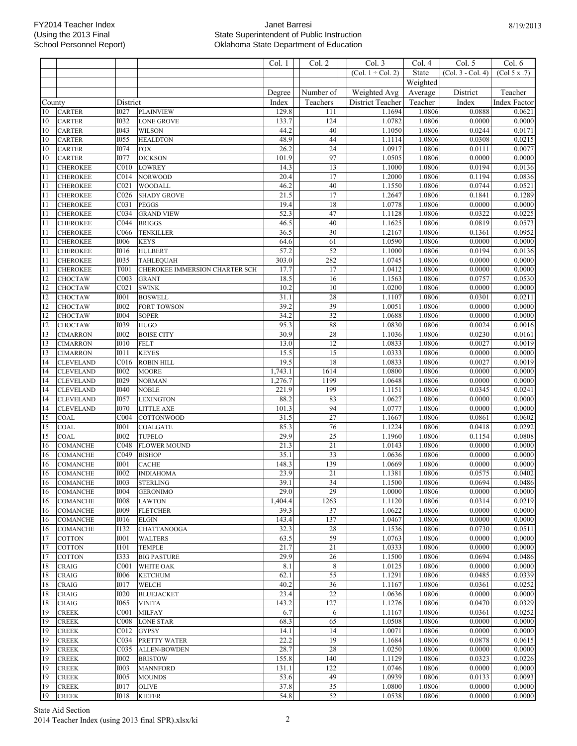|                      |                                |                  |                                | Col. 1          | Col. 2          | Col. 3                 | Col. 4           | Col. 5            | Col. 6                                     |
|----------------------|--------------------------------|------------------|--------------------------------|-----------------|-----------------|------------------------|------------------|-------------------|--------------------------------------------|
|                      |                                |                  |                                |                 |                 | (Col. $1 \div$ Col. 2) | <b>State</b>     | (Col. 3 - Col. 4) | $\overline{(\text{Col } 5 \text{ x } .7)}$ |
|                      |                                |                  |                                |                 |                 |                        | Weighted         |                   |                                            |
|                      |                                |                  |                                | Degree          | Number of       | Weighted Avg           | Average          | District          | Teacher                                    |
| $\overline{C}$ ounty |                                | District         |                                | Index           | Teachers        | District Teacher       | Teacher          | Index             | Index Factor                               |
| 10                   | <b>CARTER</b>                  | <b>I027</b>      | <b>PLAINVIEW</b>               | 129.8           | 111             | 1.1694                 | 1.0806           | 0.0888            | 0.0621                                     |
| 10                   | <b>CARTER</b>                  | 1032             | <b>LONE GROVE</b>              | 133.7           | 124             | 1.0782                 | 1.0806           | 0.0000            | 0.0000                                     |
| 10                   | <b>CARTER</b>                  | <b>I043</b>      | <b>WILSON</b>                  | 44.2            | 40              | 1.1050                 | 1.0806           | 0.0244            | 0.0171                                     |
| $10\,$               | <b>CARTER</b>                  | 1055             | <b>HEALDTON</b>                | 48.9            | 44              | 1.1114                 | 1.0806           | 0.0308            | 0.0215                                     |
| 10                   |                                | 1074             | <b>FOX</b>                     | 26.2            | 24              | 1.0917                 | 1.0806           | 0.0111            | 0.0077                                     |
| 10                   | <b>CARTER</b><br><b>CARTER</b> | <b>I077</b>      | <b>DICKSON</b>                 | 101.9           | 97              | 1.0505                 | 1.0806           | 0.0000            | 0.0000                                     |
|                      |                                |                  |                                |                 | 13              |                        |                  |                   |                                            |
| 11                   | <b>CHEROKEE</b>                | C <sub>010</sub> | <b>LOWREY</b>                  | 14.3            |                 | 1.1000                 | 1.0806           | 0.0194            | 0.0136                                     |
| 11                   | <b>CHEROKEE</b>                | C <sub>014</sub> | <b>NORWOOD</b>                 | 20.4            | 17              | 1.2000                 | 1.0806           | 0.1194            | 0.0836                                     |
| 11                   | <b>CHEROKEE</b>                | C <sub>021</sub> | <b>WOODALL</b>                 | 46.2            | 40              | 1.1550                 | 1.0806           | 0.0744            | 0.0521                                     |
| 11                   | <b>CHEROKEE</b>                | C <sub>026</sub> | <b>SHADY GROVE</b>             | 21.5            | 17              | 1.2647                 | 1.0806           | 0.1841            | 0.1289                                     |
| 11                   | <b>CHEROKEE</b>                | C031             | <b>PEGGS</b>                   | 19.4            | 18              | 1.0778                 | 1.0806           | 0.0000            | 0.0000                                     |
| 11                   | <b>CHEROKEE</b>                | C034             | <b>GRAND VIEW</b>              | 52.3            | 47              | 1.1128                 | 1.0806           | 0.0322            | 0.0225                                     |
| 11                   | <b>CHEROKEE</b>                | CO44             | <b>BRIGGS</b>                  | 46.5            | 40              | 1.1625                 | 1.0806           | 0.0819            | 0.0573                                     |
| 11                   | <b>CHEROKEE</b>                | C066             | <b>TENKILLER</b>               | 36.5            | 30              | 1.2167                 | 1.0806           | 0.1361            | 0.0952                                     |
| 11                   | <b>CHEROKEE</b>                | 1006             | <b>KEYS</b>                    | 64.6            | 61              | 1.0590                 | 1.0806           | 0.0000            | 0.0000                                     |
| 11                   | <b>CHEROKEE</b>                | <b>I016</b>      | <b>HULBERT</b>                 | 57.2            | $\overline{52}$ | 1.1000                 | 1.0806           | 0.0194            | 0.0136                                     |
| 11                   | <b>CHEROKEE</b>                | 1035             | TAHLEQUAH                      | 303.0           | 282             | 1.0745                 | 1.0806           | 0.0000            | 0.0000                                     |
| 11                   | <b>CHEROKEE</b>                | T001             | CHEROKEE IMMERSION CHARTER SCH | 17.7            | 17              | 1.0412                 | 1.0806           | 0.0000            | 0.0000                                     |
| 12                   | <b>CHOCTAW</b>                 | C003             | <b>GRANT</b>                   | 18.5            | 16              | 1.1563                 | 1.0806           | 0.0757            | 0.0530                                     |
| 12                   | <b>CHOCTAW</b>                 | CO <sub>21</sub> | <b>SWINK</b>                   | 10.2            | 10              | 1.0200                 | 1.0806           | 0.0000            | 0.0000                                     |
| 12                   | <b>CHOCTAW</b>                 | <b>I001</b>      | <b>BOSWELL</b>                 | 31.1            | 28              | 1.1107                 | 1.0806           | 0.0301            | 0.0211                                     |
| 12                   | <b>CHOCTAW</b>                 | <b>I002</b>      | <b>FORT TOWSON</b>             | 39.2            | 39              | 1.0051                 | 1.0806           | 0.0000            | 0.0000                                     |
| 12                   | CHOCTAW                        | <b>I004</b>      | <b>SOPER</b>                   | 34.2            | 32              | 1.0688                 | 1.0806           | 0.0000            | 0.0000                                     |
| 12                   | CHOCTAW                        | 1039             | <b>HUGO</b>                    | 95.3            | 88              | 1.0830                 | 1.0806           | 0.0024            | 0.0016                                     |
| 13                   | <b>CIMARRON</b>                | <b>I002</b>      | <b>BOISE CITY</b>              | 30.9            | 28              | 1.1036                 | 1.0806           | 0.0230            | 0.0161                                     |
| 13                   | <b>CIMARRON</b>                | <b>I010</b>      | <b>FELT</b>                    | 13.0            | 12              | 1.0833                 | 1.0806           | 0.0027            | 0.0019                                     |
| 13                   | <b>CIMARRON</b>                | I011             | <b>KEYES</b>                   | 15.5            | 15              | 1.0333                 | 1.0806           | 0.0000            | 0.0000                                     |
| 14                   | <b>CLEVELAND</b>               | C <sub>016</sub> | <b>ROBIN HILL</b>              | 19.5            | 18              | 1.0833                 | 1.0806           | 0.0027            | 0.0019                                     |
| 14                   | <b>CLEVELAND</b>               | <b>I002</b>      | <b>MOORE</b>                   | 1,743.1         | 1614            | 1.0800                 | 1.0806           | 0.0000            | 0.0000                                     |
| 14                   | <b>CLEVELAND</b>               | <b>I029</b>      | <b>NORMAN</b>                  | 1,276.7         | 1199            | 1.0648                 | 1.0806           | 0.0000            | 0.0000                                     |
| 14                   | <b>CLEVELAND</b>               | <b>I040</b>      | <b>NOBLE</b>                   | 221.9           | 199             | 1.1151                 | 1.0806           | 0.0345            | 0.0241                                     |
| 14                   | <b>CLEVELAND</b>               | 1057             | <b>LEXINGTON</b>               | 88.2            | 83              | 1.0627                 | 1.0806           | 0.0000            | 0.0000                                     |
| 14                   | <b>CLEVELAND</b>               | 1070             | <b>LITTLE AXE</b>              | 101.3           | 94              | 1.0777                 | 1.0806           | 0.0000            | 0.0000                                     |
| 15                   | <b>COAL</b>                    | COO4             | <b>COTTONWOOD</b>              | 31.5            | 27              | 1.1667                 | 1.0806           | 0.0861            | 0.0602                                     |
| 15                   | COAL                           | <b>I001</b>      | COALGATE                       | 85.3            | 76              | 1.1224                 | 1.0806           | 0.0418            | 0.0292                                     |
| 15                   | <b>COAL</b>                    | 1002             | <b>TUPELO</b>                  | 29.9            | $\overline{25}$ | 1.1960                 | 1.0806           | 0.1154            | 0.0808                                     |
| 16                   | <b>COMANCHE</b>                | C048             | <b>FLOWER MOUND</b>            | 21.3            | 21              | 1.0143                 | 1.0806           | 0.0000            | 0.0000                                     |
| 16                   | <b>COMANCHE</b>                | C049             | <b>BISHOP</b>                  | 35.1            | $\overline{33}$ | 1.0636                 | 1.0806           | 0.0000            | 0.0000                                     |
| 16                   | <b>COMANCHE</b>                | <b>I001</b>      | <b>CACHE</b>                   | 148.3           | 139             | 1.0669                 | 1.0806           | 0.0000            | 0.0000                                     |
| 16                   | <b>COMANCHE</b>                | <b>I002</b>      | <b>INDIAHOMA</b>               | 23.9            | 21              | 1.1381                 | 1.0806           | 0.0575            | 0.0402                                     |
| 16                   | <b>COMANCHE</b>                |                  | 1003 STERLING                  | 39.1            | 34              | 1.1500                 | 1.0806           | 0.0694            | 0.0486                                     |
| 16                   |                                | <b>I004</b>      |                                | 29.0            | 29              |                        | 1.0806           | 0.0000            | 0.0000                                     |
|                      | <b>COMANCHE</b>                |                  | <b>GERONIMO</b>                |                 | 1263            | 1.0000<br>1.1120       |                  | 0.0314            | 0.0219                                     |
| 16                   | <b>COMANCHE</b>                | 1008             | <b>LAWTON</b>                  | 1,404.4<br>39.3 | 37              | 1.0622                 | 1.0806           | 0.0000            |                                            |
| 16                   | <b>COMANCHE</b>                | <b>I009</b>      | <b>FLETCHER</b>                |                 |                 |                        | 1.0806<br>1.0806 |                   | 0.0000<br>0.0000                           |
| 16                   | <b>COMANCHE</b>                | <b>I016</b>      | <b>ELGIN</b>                   | 143.4           | 137             | 1.0467                 |                  | 0.0000            |                                            |
| 16                   | <b>COMANCHE</b>                | I132             | <b>CHATTANOOGA</b>             | 32.3            | 28              | 1.1536                 | 1.0806           | 0.0730            | 0.0511                                     |
| 17                   | <b>COTTON</b>                  | <b>I001</b>      | <b>WALTERS</b>                 | 63.5            | 59              | 1.0763                 | 1.0806           | 0.0000            | 0.0000                                     |
| 17                   | <b>COTTON</b>                  | <b>I101</b>      | <b>TEMPLE</b>                  | 21.7            | 21              | 1.0333                 | 1.0806           | 0.0000            | 0.0000                                     |
| 17                   | <b>COTTON</b>                  | 1333             | <b>BIG PASTURE</b>             | 29.9            | 26              | 1.1500                 | 1.0806           | 0.0694            | 0.0486                                     |
| 18                   | <b>CRAIG</b>                   | C <sub>001</sub> | WHITE OAK                      | 8.1             | $\,$ 8 $\,$     | 1.0125                 | 1.0806           | 0.0000            | 0.0000                                     |
| 18                   | <b>CRAIG</b>                   | 1006             | <b>KETCHUM</b>                 | 62.1            | 55              | 1.1291                 | 1.0806           | 0.0485            | 0.0339                                     |
| 18                   | <b>CRAIG</b>                   | <b>I017</b>      | WELCH                          | 40.2            | 36              | 1.1167                 | 1.0806           | 0.0361            | 0.0252                                     |
| 18                   | <b>CRAIG</b>                   | <b>I020</b>      | <b>BLUEJACKET</b>              | 23.4            | 22              | 1.0636                 | 1.0806           | 0.0000            | 0.0000                                     |
| 18                   | <b>CRAIG</b>                   | I065             | <b>VINITA</b>                  | 143.2           | 127             | 1.1276                 | 1.0806           | 0.0470            | 0.0329                                     |
| 19                   | <b>CREEK</b>                   | C <sub>001</sub> | <b>MILFAY</b>                  | 6.7             | 6               | 1.1167                 | 1.0806           | 0.0361            | 0.0252                                     |
| 19                   | <b>CREEK</b>                   | C008             | <b>LONE STAR</b>               | 68.3            | 65              | 1.0508                 | 1.0806           | 0.0000            | 0.0000                                     |
| 19                   | <b>CREEK</b>                   | C012             | <b>GYPSY</b>                   | 14.1            | 14              | 1.0071                 | 1.0806           | 0.0000            | 0.0000                                     |
| 19                   | <b>CREEK</b>                   | C034             | PRETTY WATER                   | 22.2            | 19              | 1.1684                 | 1.0806           | 0.0878            | 0.0615                                     |
| 19                   | <b>CREEK</b>                   | C035             | <b>ALLEN-BOWDEN</b>            | 28.7            | 28              | 1.0250                 | 1.0806           | 0.0000            | 0.0000                                     |
| 19                   | <b>CREEK</b>                   | 1002             | <b>BRISTOW</b>                 | 155.8           | 140             | 1.1129                 | 1.0806           | 0.0323            | 0.0226                                     |
| 19                   | <b>CREEK</b>                   | <b>I003</b>      | <b>MANNFORD</b>                | 131.1           | 122             | 1.0746                 | 1.0806           | 0.0000            | 0.0000                                     |
| 19                   | <b>CREEK</b>                   | 1005             | <b>MOUNDS</b>                  | 53.6            | 49              | 1.0939                 | 1.0806           | 0.0133            | 0.0093                                     |
| 19                   | <b>CREEK</b>                   | <b>I017</b>      | <b>OLIVE</b>                   | 37.8            | $\overline{35}$ | 1.0800                 | 1.0806           | 0.0000            | 0.0000                                     |
| 19                   | <b>CREEK</b>                   | 1018             | <b>KIEFER</b>                  | 54.8            | 52              | 1.0538                 | 1.0806           | 0.0000            | 0.0000                                     |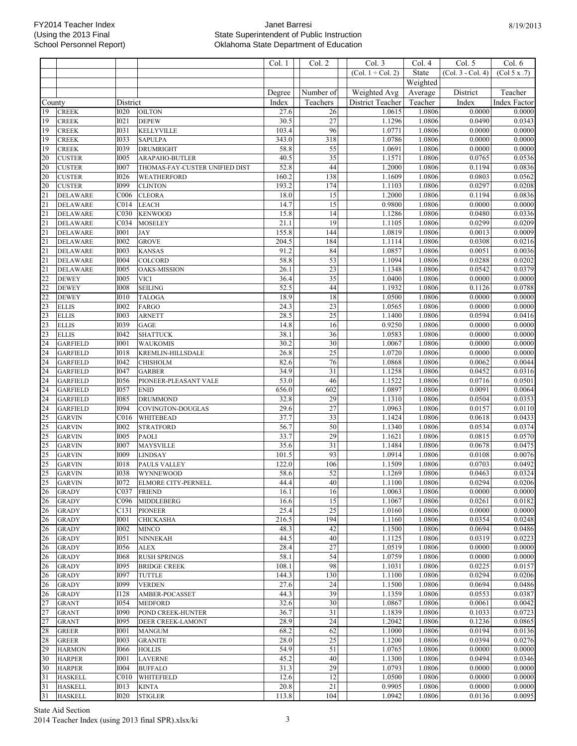|                                   |                                    |                            |                                      | Col. 1         | Col. 2          | Col. 3                 | Col. 4           | Col. 5              | Col. 6              |
|-----------------------------------|------------------------------------|----------------------------|--------------------------------------|----------------|-----------------|------------------------|------------------|---------------------|---------------------|
|                                   |                                    |                            |                                      |                |                 | (Col. $1 \div$ Col. 2) | State            | $(Col. 3 - Col. 4)$ | (Col 5 x .7)        |
|                                   |                                    |                            |                                      |                |                 |                        | Weighted         |                     |                     |
|                                   |                                    |                            |                                      | Degree         | Number of       | Weighted Avg           | Average          | District            | Teacher             |
| County                            |                                    | District                   |                                      | Index          | Teachers        | District Teacher       | Teacher          | Index               | <b>Index Factor</b> |
| 19                                | <b>CREEK</b>                       | 1020                       | <b>OILTON</b>                        | 27.6           | 26              | 1.0615                 | 1.0806           | 0.0000              | 0.0000              |
| 19                                | <b>CREEK</b>                       | I021                       | <b>DEPEW</b>                         | 30.5           | $\overline{27}$ | 1.1296                 | 1.0806           | 0.0490              | 0.0343              |
| 19                                | <b>CREEK</b>                       | <b>I031</b>                | <b>KELLYVILLE</b>                    | 103.4          | 96              | 1.0771                 | 1.0806           | 0.0000              | 0.0000              |
| 19                                | <b>CREEK</b>                       | <b>I033</b>                | <b>SAPULPA</b>                       | 343.0          | 318             | 1.0786                 | 1.0806           | 0.0000              | 0.0000              |
| 19                                | <b>CREEK</b>                       | 1039                       | <b>DRUMRIGHT</b>                     | 58.8           | $\overline{55}$ | 1.0691                 | 1.0806           | 0.0000              | 0.0000              |
| $\overline{20}$                   | <b>CUSTER</b>                      | <b>I005</b>                | ARAPAHO-BUTLER                       | 40.5           | $\overline{35}$ | 1.1571                 | 1.0806           | 0.0765              | 0.0536              |
| 20                                | <b>CUSTER</b>                      | <b>I007</b>                | THOMAS-FAY-CUSTER UNIFIED DIST       | 52.8           | 44              | 1.2000                 | 1.0806           | 0.1194              | 0.0836              |
| 20<br>20                          | <b>CUSTER</b><br><b>CUSTER</b>     | <b>I026</b><br><b>I099</b> | WEATHERFORD<br><b>CLINTON</b>        | 160.2<br>193.2 | 138<br>174      | 1.1609<br>1.1103       | 1.0806<br>1.0806 | 0.0803<br>0.0297    | 0.0562<br>0.0208    |
|                                   | <b>DELAWARE</b>                    | C006                       | <b>CLEORA</b>                        | 18.0           | $\overline{15}$ | 1.2000                 | 1.0806           | 0.1194              | 0.0836              |
| $\frac{21}{21}$                   | <b>DELAWARE</b>                    | C <sub>014</sub>           | <b>LEACH</b>                         | 14.7           | 15              | 0.9800                 | 1.0806           | 0.0000              | 0.0000              |
|                                   | <b>DELAWARE</b>                    | C030                       | <b>KENWOOD</b>                       | 15.8           | $\overline{14}$ | 1.1286                 | 1.0806           | 0.0480              | 0.0336              |
| $\frac{21}{21}$                   | <b>DELAWARE</b>                    | C034                       | <b>MOSELEY</b>                       | 21.1           | 19              | 1.1105                 | 1.0806           | 0.0299              | 0.0209              |
| $\overline{21}$                   | <b>DELAWARE</b>                    | <b>I001</b>                | <b>JAY</b>                           | 155.8          | 144             | 1.0819                 | 1.0806           | 0.0013              | 0.0009              |
| $\overline{21}$                   | <b>DELAWARE</b>                    | <b>I002</b>                | <b>GROVE</b>                         | 204.5          | 184             | 1.1114                 | 1.0806           | 0.0308              | 0.0216              |
| $\overline{21}$                   | <b>DELAWARE</b>                    | <b>I003</b>                | <b>KANSAS</b>                        | 91.2           | 84              | 1.0857                 | 1.0806           | 0.0051              | 0.0036              |
| $\overline{21}$                   | <b>DELAWARE</b>                    | <b>I004</b>                | COLCORD                              | 58.8           | 53              | 1.1094                 | 1.0806           | 0.0288              | 0.0202              |
|                                   | <b>DELAWARE</b>                    | 1005                       | OAKS-MISSION                         | 26.1           | $\overline{23}$ | 1.1348                 | 1.0806           | 0.0542              | 0.0379              |
|                                   | <b>DEWEY</b>                       | <b>I005</b>                | <b>VICI</b>                          | 36.4           | $\overline{35}$ | 1.0400                 | 1.0806           | 0.0000              | 0.0000              |
| $\frac{21}{22}$ $\frac{22}{22}$   | <b>DEWEY</b><br><b>DEWEY</b>       | <b>I008</b><br><b>I010</b> | <b>SEILING</b><br><b>TALOGA</b>      | 52.5<br>18.9   | 44<br>18        | 1.1932<br>1.0500       | 1.0806<br>1.0806 | 0.1126<br>0.0000    | 0.0788<br>0.0000    |
| $\overline{23}$                   | <b>ELLIS</b>                       | <b>I002</b>                | <b>FARGO</b>                         | 24.3           | $\overline{23}$ | 1.0565                 | 1.0806           | 0.0000              | 0.0000              |
|                                   | <b>ELLIS</b>                       | <b>I003</b>                | <b>ARNETT</b>                        | 28.5           | $\overline{25}$ | 1.1400                 | 1.0806           | 0.0594              | 0.0416              |
| $\frac{1}{23}$<br>$\frac{23}{23}$ | <b>ELLIS</b>                       | 1039                       | <b>GAGE</b>                          | 14.8           | 16              | 0.9250                 | 1.0806           | 0.0000              | 0.0000              |
|                                   | <b>ELLIS</b>                       | <b>I042</b>                | <b>SHATTUCK</b>                      | 38.1           | 36              | 1.0583                 | 1.0806           | 0.0000              | 0.0000              |
| $\overline{24}$                   | <b>GARFIELD</b>                    | <b>I001</b>                | <b>WAUKOMIS</b>                      | 30.2           | 30              | 1.0067                 | 1.0806           | 0.0000              | 0.0000              |
| $\overline{24}$                   | <b>GARFIELD</b>                    | <b>IO18</b>                | KREMLIN-HILLSDALE                    | 26.8           | $\overline{25}$ | 1.0720                 | 1.0806           | 0.0000              | 0.0000              |
| 24                                | <b>GARFIELD</b>                    | <b>I042</b>                | <b>CHISHOLM</b>                      | 82.6           | 76              | 1.0868                 | 1.0806           | 0.0062              | 0.0044              |
| 24                                | <b>GARFIELD</b>                    | I047                       | <b>GARBER</b>                        | 34.9           | 31              | 1.1258                 | 1.0806           | 0.0452              | 0.0316              |
| $\overline{24}$                   | <b>GARFIELD</b>                    | 1056                       | PIONEER-PLEASANT VALE                | 53.0           | 46              | 1.1522                 | 1.0806           | 0.0716              | 0.0501              |
| $\overline{24}$                   | <b>GARFIELD</b>                    | <b>I057</b>                | <b>ENID</b>                          | 656.0          | 602             | 1.0897                 | 1.0806           | 0.0091              | 0.0064              |
| 24<br>$\overline{24}$             | <b>GARFIELD</b><br><b>GARFIELD</b> | <b>I085</b><br><b>I094</b> | <b>DRUMMOND</b><br>COVINGTON-DOUGLAS | 32.8<br>29.6   | 29<br>27        | 1.1310<br>1.0963       | 1.0806<br>1.0806 | 0.0504<br>0.0157    | 0.0353<br>0.0110    |
|                                   | <b>GARVIN</b>                      | C016                       | WHITEBEAD                            | 37.7           | 33              | 1.1424                 | 1.0806           | 0.0618              | 0.0433              |
|                                   | <b>GARVIN</b>                      | <b>I002</b>                | <b>STRATFORD</b>                     | 56.7           | 50              | 1.1340                 | 1.0806           | 0.0534              | 0.0374              |
| $\frac{25}{25}$                   | <b>GARVIN</b>                      | <b>I005</b>                | <b>PAOLI</b>                         | 33.7           | 29              | 1.1621                 | 1.0806           | 0.0815              | 0.0570              |
|                                   | <b>GARVIN</b>                      | <b>I007</b>                | <b>MAYSVILLE</b>                     | 35.6           | 31              | 1.1484                 | 1.0806           | 0.0678              | 0.0475              |
| $\frac{25}{25}$ $\frac{25}{25}$   | <b>GARVIN</b>                      | <b>I009</b>                | <b>LINDSAY</b>                       | 101.5          | 93              | 1.0914                 | 1.0806           | 0.0108              | 0.0076              |
|                                   | <b>GARVIN</b>                      | <b>I018</b>                | PAULS VALLEY                         | 122.0          | 106             | 1.1509                 | 1.0806           | 0.0703              | 0.0492              |
|                                   | <b>GARVIN</b>                      | 1038                       | WYNNEWOOD                            | 58.6           | 52              | 1.1269                 | 1.0806           | 0.0463              | 0.0324              |
| $\frac{25}{26}$                   | <b>GARVIN</b>                      | <b>I072</b>                | <b>ELMORE CITY-PERNELL</b>           | 44.4           | 40              | 1.1100                 | 1.0806           | 0.0294              | 0.0206              |
|                                   | <b>GRADY</b>                       | C037                       | <b>FRIEND</b>                        | 16.1           | 16              | 1.0063                 | 1.0806           | 0.0000              | 0.0000              |
| 26                                | <b>GRADY</b>                       | C096                       | <b>MIDDLEBERG</b>                    | 16.6           | 15              | 1.1067                 | 1.0806           | 0.0261              | 0.0182              |
| 26<br>26                          | <b>GRADY</b><br><b>GRADY</b>       | C131<br><b>I001</b>        | <b>PIONEER</b><br><b>CHICKASHA</b>   | 25.4<br>216.5  | 25<br>194       | 1.0160<br>1.1160       | 1.0806<br>1.0806 | 0.0000<br>0.0354    | 0.0000<br>0.0248    |
| $\overline{26}$                   | <b>GRADY</b>                       | <b>I002</b>                | <b>MINCO</b>                         | 48.3           | 42              | 1.1500                 | 1.0806           | 0.0694              | 0.0486              |
| 26                                | <b>GRADY</b>                       | <b>I051</b>                | <b>NINNEKAH</b>                      | 44.5           | 40              | 1.1125                 | 1.0806           | 0.0319              | 0.0223              |
| 26                                | <b>GRADY</b>                       | <b>I056</b>                | <b>ALEX</b>                          | 28.4           | 27              | 1.0519                 | 1.0806           | 0.0000              | 0.0000              |
| 26                                | <b>GRADY</b>                       | <b>I068</b>                | <b>RUSH SPRINGS</b>                  | 58.1           | 54              | 1.0759                 | 1.0806           | 0.0000              | 0.0000              |
| 26                                | <b>GRADY</b>                       | 1095                       | <b>BRIDGE CREEK</b>                  | 108.1          | 98              | 1.1031                 | 1.0806           | 0.0225              | 0.0157              |
| $\overline{26}$                   | <b>GRADY</b>                       | 1097                       | <b>TUTTLE</b>                        | 144.3          | 130             | 1.1100                 | 1.0806           | 0.0294              | 0.0206              |
| 26                                | <b>GRADY</b>                       | 1099                       | <b>VERDEN</b>                        | 27.6           | 24              | 1.1500                 | 1.0806           | 0.0694              | 0.0486              |
| 26                                | <b>GRADY</b>                       | I128                       | AMBER-POCASSET                       | 44.3           | 39              | 1.1359                 | 1.0806           | 0.0553              | 0.0387              |
| 27                                | <b>GRANT</b>                       | 1054                       | <b>MEDFORD</b>                       | 32.6           | 30              | 1.0867                 | 1.0806           | 0.0061              | 0.0042              |
| $\overline{27}$                   | <b>GRANT</b>                       | <b>I090</b>                | POND CREEK-HUNTER                    | 36.7           | 31              | 1.1839                 | 1.0806           | 0.1033              | 0.0723              |
| $\overline{27}$<br>28             | <b>GRANT</b>                       | <b>I095</b><br><b>I001</b> | DEER CREEK-LAMONT                    | 28.9<br>68.2   | 24<br>62        | 1.2042<br>1.1000       | 1.0806<br>1.0806 | 0.1236<br>0.0194    | 0.0865<br>0.0136    |
| 28                                | <b>GREER</b><br><b>GREER</b>       | <b>I003</b>                | <b>MANGUM</b><br><b>GRANITE</b>      | 28.0           | $\overline{25}$ | 1.1200                 | 1.0806           | 0.0394              | 0.0276              |
| 29                                | <b>HARMON</b>                      | 1066                       | <b>HOLLIS</b>                        | 54.9           | 51              | 1.0765                 | 1.0806           | 0.0000              | 0.0000              |
| $\overline{30}$                   | <b>HARPER</b>                      | <b>I001</b>                | <b>LAVERNE</b>                       | 45.2           | 40              | 1.1300                 | 1.0806           | 0.0494              | 0.0346              |
| 30                                | <b>HARPER</b>                      | <b>I004</b>                | <b>BUFFALO</b>                       | 31.3           | 29              | 1.0793                 | 1.0806           | 0.0000              | 0.0000              |
| $\overline{31}$                   | <b>HASKELL</b>                     | C <sub>010</sub>           | WHITEFIELD                           | 12.6           | 12              | 1.0500                 | 1.0806           | 0.0000              | 0.0000              |
| $\overline{31}$                   | <b>HASKELL</b>                     | 1013                       | <b>KINTA</b>                         | 20.8           | 21              | 0.9905                 | 1.0806           | 0.0000              | 0.0000              |
| $\overline{31}$                   | <b>HASKELL</b>                     | 1020                       | <b>STIGLER</b>                       | 113.8          | 104             | 1.0942                 | 1.0806           | 0.0136              | 0.0095              |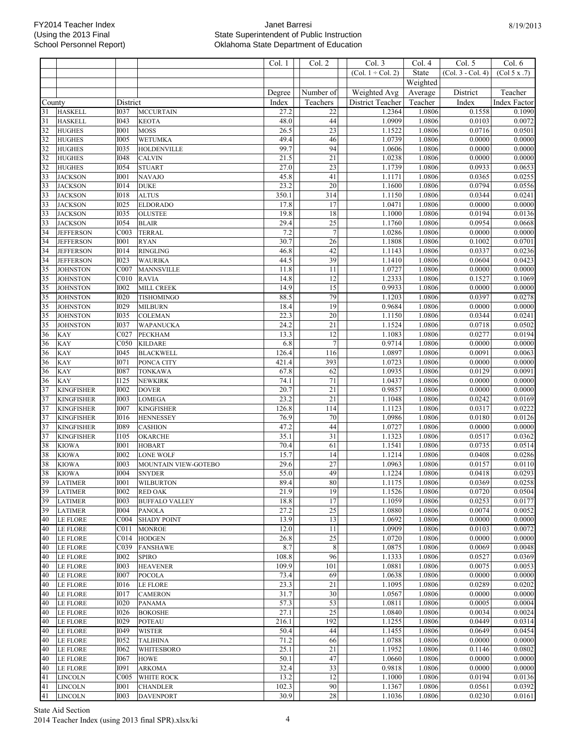|                 |                   |                            |                                  | Col. 1        | Col. 2          | Col.3               | Col. 4           | Col. 5              | Col. 6              |
|-----------------|-------------------|----------------------------|----------------------------------|---------------|-----------------|---------------------|------------------|---------------------|---------------------|
|                 |                   |                            |                                  |               |                 | $(Col. 1 + Col. 2)$ | State            | $(Col. 3 - Col. 4)$ | (Col 5 x .7)        |
|                 |                   |                            |                                  |               |                 |                     | Weighted         |                     |                     |
|                 |                   |                            |                                  | Degree        | Number of       | Weighted Avg        | Average          | District            | Teacher             |
| County          |                   | District                   |                                  | Index         | Teachers        | District Teacher    | Teacher          | Index               | <b>Index Factor</b> |
| 31              | <b>HASKELL</b>    | 1037                       | <b>MCCURTAIN</b>                 | 27.2          | 22              | 1.2364              | 1.0806           | 0.1558              | 0.1090              |
| $\overline{31}$ | <b>HASKELL</b>    | I043                       | <b>KEOTA</b>                     | 48.0          | 44              | 1.0909              | 1.0806           | 0.0103              | 0.0072              |
| $\frac{32}{32}$ | <b>HUGHES</b>     | <b>I001</b>                | <b>MOSS</b>                      | 26.5          | $\overline{23}$ | 1.1522              | 1.0806           | 0.0716              | 0.0501              |
|                 | <b>HUGHES</b>     | <b>I005</b>                | <b>WETUMKA</b>                   | 49.4          | 46              | 1.0739              | 1.0806           | 0.0000              | 0.0000              |
|                 | <b>HUGHES</b>     | <b>I035</b>                | <b>HOLDENVILLE</b>               | 99.7          | 94              | 1.0606              | 1.0806           | 0.0000              | 0.0000              |
| $\overline{32}$ | <b>HUGHES</b>     | <b>I048</b>                | <b>CALVIN</b>                    | 21.5          | $\overline{21}$ | 1.0238              | 1.0806           | 0.0000              | 0.0000              |
| 32              | <b>HUGHES</b>     | 1054                       | <b>STUART</b>                    | 27.0          | $\overline{23}$ | 1.1739              | 1.0806           | 0.0933              | 0.0653              |
| $\overline{33}$ | <b>JACKSON</b>    | <b>I001</b>                | <b>NAVAJO</b>                    | 45.8          | 41              | 1.1171              | 1.0806           | 0.0365              | 0.0255              |
| 33              | <b>JACKSON</b>    | <b>I014</b>                | <b>DUKE</b>                      | 23.2          | $\overline{20}$ | 1.1600              | 1.0806           | 0.0794              | 0.0556              |
| $\overline{33}$ | <b>JACKSON</b>    | <b>I018</b>                | <b>ALTUS</b>                     | 350.1         | 314             | 1.1150              | 1.0806           | 0.0344              | 0.0241              |
| $\frac{33}{33}$ | <b>JACKSON</b>    | <b>I025</b>                | <b>ELDORADO</b>                  | 17.8          | 17              | 1.0471              | 1.0806           | 0.0000              | 0.0000              |
|                 | <b>JACKSON</b>    | <b>I035</b>                | <b>OLUSTEE</b>                   | 19.8          | 18              | 1.1000              | 1.0806           | 0.0194              | 0.0136              |
| $\overline{33}$ | <b>JACKSON</b>    | <b>I054</b>                | <b>BLAIR</b>                     | 29.4          | $\overline{25}$ | 1.1760              | 1.0806           | 0.0954              | 0.0668              |
| $\frac{34}{34}$ | <b>JEFFERSON</b>  | COO3                       | <b>TERRAL</b>                    | 7.2           | $\overline{7}$  | 1.0286              | 1.0806           | 0.0000              | 0.0000              |
|                 | <b>JEFFERSON</b>  | <b>I001</b>                | <b>RYAN</b>                      | 30.7          | $\overline{26}$ | 1.1808              | 1.0806           | 0.1002              | 0.0701              |
| $\overline{34}$ | <b>JEFFERSON</b>  | <b>I014</b>                | <b>RINGLING</b>                  | 46.8          | 42              | 1.1143              | 1.0806           | 0.0337              | 0.0236              |
| 34              | <b>JEFFERSON</b>  | 1023                       | <b>WAURIKA</b>                   | 44.5          | 39              | 1.1410              | 1.0806           | 0.0604              | 0.0423              |
| $\frac{35}{35}$ | <b>JOHNSTON</b>   | C007                       | <b>MANNSVILLE</b>                | 11.8          | $\overline{11}$ | 1.0727              | 1.0806           | 0.0000              | 0.0000              |
|                 | <b>JOHNSTON</b>   | C <sub>010</sub>           | <b>RAVIA</b>                     | 14.8          | 12              | 1.2333              | 1.0806           | 0.1527              | 0.1069              |
| 35              | <b>JOHNSTON</b>   | <b>I002</b>                | MILL CREEK                       | 14.9          | 15              | 0.9933              | 1.0806           | 0.0000              | 0.0000              |
| $\overline{35}$ | <b>JOHNSTON</b>   | <b>I020</b>                | <b>TISHOMINGO</b>                | 88.5          | 79              | 1.1203              | 1.0806           | 0.0397              | 0.0278              |
| $\frac{35}{35}$ | <b>JOHNSTON</b>   | 1029                       | <b>MILBURN</b>                   | 18.4          | 19              | 0.9684              | 1.0806           | 0.0000              | 0.0000              |
|                 | <b>JOHNSTON</b>   | 1035                       | <b>COLEMAN</b>                   | 22.3          | $\overline{20}$ | 1.1150              | 1.0806           | 0.0344              | 0.0241              |
| 35              | <b>JOHNSTON</b>   | 1037                       | <b>WAPANUCKA</b>                 | 24.2          | $\overline{21}$ | 1.1524              | 1.0806           | 0.0718              | 0.0502              |
| $\frac{36}{36}$ | KAY               | C027                       | <b>PECKHAM</b>                   | 13.3          | 12              | 1.1083              | 1.0806           | 0.0277              | 0.0194              |
|                 | KAY               | C050                       | <b>KILDARE</b>                   | 6.8           | $\overline{7}$  | 0.9714              | 1.0806           | 0.0000              | 0.0000              |
| 36<br>36        | KAY               | I045                       | <b>BLACKWELL</b>                 | 126.4         | 116<br>393      | 1.0897              | 1.0806           | 0.0091              | 0.0063              |
|                 | KAY               | <b>I071</b><br><b>I087</b> | PONCA CITY                       | 421.4<br>67.8 | 62              | 1.0723<br>1.0935    | 1.0806<br>1.0806 | 0.0000<br>0.0129    | 0.0000<br>0.0091    |
| 36<br>36        | <b>KAY</b><br>KAY | <b>I125</b>                | <b>TONKAWA</b><br><b>NEWKIRK</b> | 74.1          | 71              | 1.0437              | 1.0806           | 0.0000              | 0.0000              |
| $\overline{37}$ | <b>KINGFISHER</b> | <b>I002</b>                | <b>DOVER</b>                     | 20.7          | $\overline{21}$ | 0.9857              | 1.0806           | 0.0000              | 0.0000              |
| $\overline{37}$ | <b>KINGFISHER</b> | <b>I003</b>                | <b>LOMEGA</b>                    | 23.2          | $\overline{21}$ | 1.1048              | 1.0806           | 0.0242              | 0.0169              |
| 37              | <b>KINGFISHER</b> | <b>I007</b>                | <b>KINGFISHER</b>                | 126.8         | 114             | 1.1123              | 1.0806           | 0.0317              | 0.0222              |
| 37              | <b>KINGFISHER</b> | <b>I016</b>                | <b>HENNESSEY</b>                 | 76.9          | 70              | 1.0986              | 1.0806           | 0.0180              | 0.0126              |
| $\overline{37}$ | <b>KINGFISHER</b> | 1089                       | <b>CASHION</b>                   | 47.2          | 44              | 1.0727              | 1.0806           | 0.0000              | 0.0000              |
|                 | <b>KINGFISHER</b> | <b>I105</b>                | OKARCHE                          | 35.1          | 31              | 1.1323              | 1.0806           | 0.0517              | 0.0362              |
| $\frac{37}{38}$ | <b>KIOWA</b>      | <b>I001</b>                | <b>HOBART</b>                    | 70.4          | 61              | 1.1541              | 1.0806           | 0.0735              | 0.0514              |
| 38              | <b>KIOWA</b>      | 1002                       | <b>LONE WOLF</b>                 | 15.7          | 14              | 1.1214              | 1.0806           | 0.0408              | 0.0286              |
|                 | <b>KIOWA</b>      | <b>I003</b>                | MOUNTAIN VIEW-GOTEBO             | 29.6          | $\overline{27}$ | 1.0963              | 1.0806           | 0.0157              | 0.0110              |
| $\frac{38}{38}$ | <b>KIOWA</b>      | <b>I004</b>                | <b>SNYDER</b>                    | 55.0          | 49              | 1.1224              | 1.0806           | 0.0418              | 0.0293              |
| 39              | <b>LATIMER</b>    | <b>I001</b>                | <b>WILBURTON</b>                 | 89.4          | 80              | 1.1175              | 1.0806           | 0.0369              | 0.0258              |
| 39              | <b>LATIMER</b>    | 1002                       | <b>RED OAK</b>                   | 21.9          | 19              | 1.1526              | 1.0806           | 0.0720              | 0.0504              |
| 39              | <b>LATIMER</b>    | 1003                       | <b>BUFFALO VALLEY</b>            | 18.8          | 17              | 1.1059              | 1.0806           | 0.0253              | 0.0177              |
| 39              | <b>LATIMER</b>    | 1004                       | <b>PANOLA</b>                    | 27.2          | 25              | 1.0880              | 1.0806           | 0.0074              | 0.0052              |
| 40              | <b>LE FLORE</b>   | C004                       | <b>SHADY POINT</b>               | 13.9          | 13              | 1.0692              | 1.0806           | 0.0000              | 0.0000              |
| 40              | <b>LE FLORE</b>   | C <sub>011</sub>           | <b>MONROE</b>                    | 12.0          | 11              | 1.0909              | 1.0806           | 0.0103              | 0.0072              |
| 40              | <b>LE FLORE</b>   | C014                       | <b>HODGEN</b>                    | 26.8          | 25              | 1.0720              | 1.0806           | 0.0000              | 0.0000              |
| 40              | <b>LE FLORE</b>   | C039                       | <b>FANSHAWE</b>                  | 8.7           | 8               | 1.0875              | 1.0806           | 0.0069              | 0.0048              |
| 40              | <b>LE FLORE</b>   | 1002                       | <b>SPIRO</b>                     | 108.8         | 96              | 1.1333              | 1.0806           | 0.0527              | 0.0369              |
| 40              | LE FLORE          | 1003                       | <b>HEAVENER</b>                  | 109.9         | 101             | 1.0881              | 1.0806           | 0.0075              | 0.0053              |
| $\overline{40}$ | <b>LE FLORE</b>   | 1007                       | <b>POCOLA</b>                    | 73.4          | 69              | 1.0638              | 1.0806           | 0.0000              | 0.0000              |
| 40              | <b>LE FLORE</b>   | 1016                       | <b>LE FLORE</b>                  | 23.3          | 21              | 1.1095              | 1.0806           | 0.0289              | 0.0202              |
| 40              | <b>LE FLORE</b>   | 1017                       | <b>CAMERON</b>                   | 31.7          | 30              | 1.0567              | 1.0806           | 0.0000              | 0.0000              |
| 40              | <b>LE FLORE</b>   | 1020                       | <b>PANAMA</b>                    | 57.3          | 53              | 1.0811              | 1.0806           | 0.0005              | 0.0004              |
| 40              | <b>LE FLORE</b>   | 1026                       | <b>BOKOSHE</b>                   | 27.1          | 25              | 1.0840              | 1.0806           | 0.0034              | 0.0024              |
| 40              | <b>LE FLORE</b>   | 1029                       | <b>POTEAU</b>                    | 216.1         | 192             | 1.1255              | 1.0806           | 0.0449              | 0.0314              |
| 40              | <b>LE FLORE</b>   | 1049                       | <b>WISTER</b>                    | 50.4          | 44              | 1.1455              | 1.0806           | 0.0649              | 0.0454              |
| 40              | <b>LE FLORE</b>   | 1052                       | <b>TALIHINA</b>                  | 71.2          | 66              | 1.0788              | 1.0806           | 0.0000              | 0.0000              |
| 40              | <b>LE FLORE</b>   | 1062                       | WHITESBORO                       | 25.1          | 21              | 1.1952              | 1.0806           | 0.1146              | 0.0802              |
| 40              | <b>LE FLORE</b>   | 1067                       | <b>HOWE</b>                      | 50.1          | 47              | 1.0660              | 1.0806           | 0.0000              | 0.0000              |
| 40              | LE FLORE          | I091                       | <b>ARKOMA</b>                    | 32.4          | 33              | 0.9818              | 1.0806           | 0.0000              | 0.0000              |
| 41              | <b>LINCOLN</b>    | C <sub>005</sub>           | WHITE ROCK                       | 13.2          | 12              | 1.1000              | 1.0806           | 0.0194              | 0.0136              |
| 41              | <b>LINCOLN</b>    | <b>I001</b>                | <b>CHANDLER</b>                  | 102.3         | 90              | 1.1367              | 1.0806           | 0.0561              | 0.0392              |
| 41              | <b>LINCOLN</b>    | 1003                       | <b>DAVENPORT</b>                 | 30.9          | $\overline{28}$ | 1.1036              | 1.0806           | 0.0230              | 0.0161              |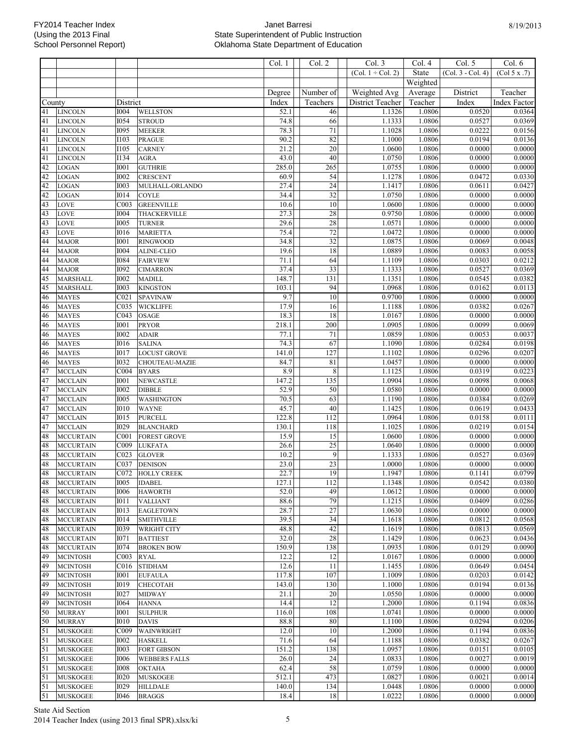|          |                                      |                                 |                                  | Col. 1        | Col. 2           | Col.3                  | Col. 4           | Col. 5            | Col. $6$            |
|----------|--------------------------------------|---------------------------------|----------------------------------|---------------|------------------|------------------------|------------------|-------------------|---------------------|
|          |                                      |                                 |                                  |               |                  | (Col. $1 \div$ Col. 2) | State            | (Col. 3 - Col. 4) | (Col 5 x .7)        |
|          |                                      |                                 |                                  |               |                  |                        | Weighted         |                   |                     |
|          |                                      |                                 |                                  | Degree        | Number of        | Weighted Avg           | Average          | District          | Teacher             |
| County   |                                      | District                        |                                  | Index         | Teachers         | District Teacher       | Teacher          | Index             | <b>Index Factor</b> |
| 41       | <b>LINCOLN</b>                       | <b>I004</b>                     | <b>WELLSTON</b>                  | 52.1          | 46               | 1.1326                 | 1.0806           | 0.0520            | 0.0364              |
| 41       | <b>LINCOLN</b>                       | 1054                            | <b>STROUD</b>                    | 74.8          | 66               | 1.1333                 | 1.0806           | 0.0527            | 0.0369              |
| 41<br>41 | <b>LINCOLN</b><br><b>LINCOLN</b>     | <b>I095</b><br>I103             | <b>MEEKER</b><br><b>PRAGUE</b>   | 78.3<br>90.2  | $71\,$<br>82     | 1.1028<br>1.1000       | 1.0806<br>1.0806 | 0.0222<br>0.0194  | 0.0156<br>0.0136    |
| 41       | <b>LINCOLN</b>                       | <b>I105</b>                     | <b>CARNEY</b>                    | 21.2          | $\overline{20}$  | 1.0600                 | 1.0806           | 0.0000            | 0.0000              |
| 41       | <b>LINCOLN</b>                       | I134                            | <b>AGRA</b>                      | 43.0          | 40               | 1.0750                 | 1.0806           | 0.0000            | 0.0000              |
| 42       | <b>LOGAN</b>                         | <b>I001</b>                     | <b>GUTHRIE</b>                   | 285.0         | 265              | 1.0755                 | 1.0806           | 0.0000            | 0.0000              |
| 42       | LOGAN                                | 1002                            | <b>CRESCENT</b>                  | 60.9          | 54               | 1.1278                 | 1.0806           | 0.0472            | 0.0330              |
| 42       | <b>LOGAN</b>                         | <b>I003</b>                     | MULHALL-ORLANDO                  | 27.4          | 24               | 1.1417                 | 1.0806           | 0.0611            | 0.0427              |
| 42       | <b>LOGAN</b>                         | <b>I014</b>                     | <b>COYLE</b>                     | 34.4          | $\overline{32}$  | 1.0750                 | 1.0806           | 0.0000            | 0.0000              |
| 43       | <b>LOVE</b>                          | COO3                            | <b>GREENVILLE</b>                | 10.6          | 10               | 1.0600                 | 1.0806           | 0.0000            | 0.0000              |
| 43<br>43 | <b>LOVE</b><br><b>LOVE</b>           | <b>I004</b><br><b>I005</b>      | THACKERVILLE                     | 27.3<br>29.6  | 28<br>28         | 0.9750<br>1.0571       | 1.0806<br>1.0806 | 0.0000<br>0.0000  | 0.0000<br>0.0000    |
| 43       | LOVE                                 | <b>I016</b>                     | <b>TURNER</b><br><b>MARIETTA</b> | 75.4          | $\overline{72}$  | 1.0472                 | 1.0806           | 0.0000            | 0.0000              |
| 44       | <b>MAJOR</b>                         | I001                            | <b>RINGWOOD</b>                  | 34.8          | $\overline{32}$  | 1.0875                 | 1.0806           | 0.0069            | 0.0048              |
| 44       | <b>MAJOR</b>                         | <b>I004</b>                     | <b>ALINE-CLEO</b>                | 19.6          | 18               | 1.0889                 | 1.0806           | 0.0083            | 0.0058              |
| 44       | <b>MAJOR</b>                         | I084                            | <b>FAIRVIEW</b>                  | 71.1          | 64               | 1.1109                 | 1.0806           | 0.0303            | 0.0212              |
| 44       | <b>MAJOR</b>                         | <b>I092</b>                     | <b>CIMARRON</b>                  | 37.4          | $\overline{33}$  | 1.1333                 | 1.0806           | 0.0527            | 0.0369              |
| 45       | <b>MARSHALL</b>                      | 1002                            | <b>MADILL</b>                    | 148.7         | 131              | 1.1351                 | 1.0806           | 0.0545            | 0.0382              |
| 45       | <b>MARSHALL</b>                      | <b>I003</b>                     | <b>KINGSTON</b>                  | 103.1         | 94               | 1.0968                 | 1.0806           | 0.0162            | 0.0113              |
| 46       | <b>MAYES</b>                         | CO <sub>21</sub>                | <b>SPAVINAW</b>                  | 9.7           | 10               | 0.9700                 | 1.0806           | 0.0000            | 0.0000              |
| 46<br>46 | <b>MAYES</b><br><b>MAYES</b>         | C035<br>C043                    | <b>WICKLIFFE</b><br><b>OSAGE</b> | 17.9<br>18.3  | 16<br>18         | 1.1188<br>1.0167       | 1.0806<br>1.0806 | 0.0382<br>0.0000  | 0.0267<br>0.0000    |
| 46       | <b>MAYES</b>                         | <b>I001</b>                     | <b>PRYOR</b>                     | 218.1         | 200              | 1.0905                 | 1.0806           | 0.0099            | 0.0069              |
| 46       | <b>MAYES</b>                         | <b>I002</b>                     | <b>ADAIR</b>                     | 77.1          | 71               | 1.0859                 | 1.0806           | 0.0053            | 0.0037              |
| 46       | <b>MAYES</b>                         | <b>I016</b>                     | <b>SALINA</b>                    | 74.3          | 67               | 1.1090                 | 1.0806           | 0.0284            | 0.0198              |
| 46       | <b>MAYES</b>                         | 1017                            | <b>LOCUST GROVE</b>              | 141.0         | $\overline{127}$ | 1.1102                 | 1.0806           | 0.0296            | 0.0207              |
| 46       | <b>MAYES</b>                         | 1032                            | CHOUTEAU-MAZIE                   | 84.7          | 81               | 1.0457                 | 1.0806           | 0.0000            | 0.0000              |
| 47       | <b>MCCLAIN</b>                       | COO4                            | <b>BYARS</b>                     | 8.9           | $\,$ 8 $\,$      | 1.1125                 | 1.0806           | 0.0319            | 0.0223              |
| 47       | <b>MCCLAIN</b>                       | I001                            | <b>NEWCASTLE</b>                 | 147.2         | 135              | 1.0904                 | 1.0806           | 0.0098            | 0.0068              |
| 47       | <b>MCCLAIN</b>                       | I002                            | <b>DIBBLE</b>                    | 52.9<br>70.5  | 50<br>63         | 1.0580                 | 1.0806<br>1.0806 | 0.0000            | 0.0000              |
| 47<br>47 | <b>MCCLAIN</b><br><b>MCCLAIN</b>     | <b>I005</b><br>1010             | WASHINGTON<br><b>WAYNE</b>       | 45.7          | 40               | 1.1190<br>1.1425       | 1.0806           | 0.0384<br>0.0619  | 0.0269<br>0.0433    |
| 47       | <b>MCCLAIN</b>                       | 1015                            | <b>PURCELL</b>                   | 122.8         | 112              | 1.0964                 | 1.0806           | 0.0158            | $\overline{0.0111}$ |
| 47       | <b>MCCLAIN</b>                       | <b>I029</b>                     | <b>BLANCHARD</b>                 | 130.1         | 118              | 1.1025                 | 1.0806           | 0.0219            | 0.0154              |
| 48       | <b>MCCURTAIN</b>                     | CO <sub>01</sub>                | <b>FOREST GROVE</b>              | 15.9          | 15               | 1.0600                 | 1.0806           | 0.0000            | 0.0000              |
| 48       | <b>MCCURTAIN</b>                     | CO09                            | <b>LUKFATA</b>                   | 26.6          | 25               | 1.0640                 | 1.0806           | 0.0000            | 0.0000              |
| 48       | <b>MCCURTAIN</b>                     | CO <sub>23</sub>                | <b>GLOVER</b>                    | 10.2          | $\overline{9}$   | 1.1333                 | 1.0806           | 0.0527            | 0.0369              |
| 48       | <b>MCCURTAIN</b>                     | C037                            | <b>DENISON</b>                   | 23.0          | 23               | 1.0000                 | 1.0806           | 0.0000            | 0.0000              |
| 48       | <b>MCCURTAIN</b>                     | C072                            | <b>HOLLY CREEK</b>               | 22.7          | 19               | 1.1947                 | 1.0806           | 0.1141            | 0.0799              |
| 48<br>48 | <b>MCCURTAIN</b><br><b>MCCURTAIN</b> | <b>I005</b><br><b>I006</b>      | <b>IDABEL</b><br><b>HAWORTH</b>  | 127.1<br>52.0 | 112<br>49        | 1.1348<br>1.0612       | 1.0806<br>1.0806 | 0.0542<br>0.0000  | 0.0380<br>0.0000    |
| 48       | <b>MCCURTAIN</b>                     | <b>I011</b>                     | VALLIANT                         | 88.6          | 79               | 1.1215                 | 1.0806           | 0.0409            | 0.0286              |
| 48       | <b>MCCURTAIN</b>                     | <b>I013</b>                     | <b>EAGLETOWN</b>                 | 28.7          | 27               | 1.0630                 | 1.0806           | 0.0000            | 0.0000              |
| 48       | <b>MCCURTAIN</b>                     | <b>I014</b>                     | <b>SMITHVILLE</b>                | 39.5          | 34               | 1.1618                 | 1.0806           | 0.0812            | 0.0568              |
| 48       | <b>MCCURTAIN</b>                     | 1039                            | WRIGHT CITY                      | 48.8          | 42               | 1.1619                 | 1.0806           | 0.0813            | 0.0569              |
| 48       | <b>MCCURTAIN</b>                     | I071                            | <b>BATTIEST</b>                  | 32.0          | 28               | 1.1429                 | 1.0806           | 0.0623            | 0.0436              |
| 48       | <b>MCCURTAIN</b>                     | <b>I074</b>                     | <b>BROKEN BOW</b>                | 150.9         | 138              | 1.0935                 | 1.0806           | 0.0129            | 0.0090              |
| 49       | <b>MCINTOSH</b>                      | CO <sub>03</sub>                | <b>RYAL</b>                      | 12.2          | 12               | 1.0167                 | 1.0806           | 0.0000            | 0.0000              |
| 49<br>49 | <b>MCINTOSH</b><br><b>MCINTOSH</b>   | C <sub>016</sub><br><b>I001</b> | <b>STIDHAM</b><br><b>EUFAULA</b> | 12.6<br>117.8 | 11<br>107        | 1.1455<br>1.1009       | 1.0806<br>1.0806 | 0.0649<br>0.0203  | 0.0454<br>0.0142    |
| 49       | <b>MCINTOSH</b>                      | <b>I019</b>                     | CHECOTAH                         | 143.0         | 130              | 1.1000                 | 1.0806           | 0.0194            | 0.0136              |
| 49       | <b>MCINTOSH</b>                      | <b>I027</b>                     | <b>MIDWAY</b>                    | 21.1          | 20               | 1.0550                 | 1.0806           | 0.0000            | 0.0000              |
| 49       | <b>MCINTOSH</b>                      | <b>I064</b>                     | <b>HANNA</b>                     | 14.4          | 12               | 1.2000                 | 1.0806           | 0.1194            | 0.0836              |
| 50       | <b>MURRAY</b>                        | <b>I001</b>                     | <b>SULPHUR</b>                   | 116.0         | 108              | 1.0741                 | 1.0806           | 0.0000            | 0.0000              |
| 50       | <b>MURRAY</b>                        | <b>I010</b>                     | <b>DAVIS</b>                     | 88.8          | 80               | 1.1100                 | 1.0806           | 0.0294            | 0.0206              |
| 51       | <b>MUSKOGEE</b>                      | C <sub>009</sub>                | WAINWRIGHT                       | 12.0          | 10               | 1.2000                 | 1.0806           | 0.1194            | 0.0836              |
| 51       | <b>MUSKOGEE</b>                      | <b>I002</b>                     | <b>HASKELL</b>                   | 71.6          | 64               | 1.1188                 | 1.0806           | 0.0382            | 0.0267              |
| 51       | <b>MUSKOGEE</b>                      | <b>I003</b>                     | <b>FORT GIBSON</b>               | 151.2         | 138<br>24        | 1.0957                 | 1.0806           | 0.0151            | 0.0105              |
| 51<br>51 | <b>MUSKOGEE</b><br><b>MUSKOGEE</b>   | <b>I006</b><br><b>I008</b>      | <b>WEBBERS FALLS</b><br>OKTAHA   | 26.0<br>62.4  | 58               | 1.0833<br>1.0759       | 1.0806<br>1.0806 | 0.0027<br>0.0000  | 0.0019<br>0.0000    |
| 51       | <b>MUSKOGEE</b>                      | <b>I020</b>                     | <b>MUSKOGEE</b>                  | 512.1         | 473              | 1.0827                 | 1.0806           | 0.0021            | 0.0014              |
| 51       | <b>MUSKOGEE</b>                      | <b>I029</b>                     | <b>HILLDALE</b>                  | 140.0         | 134              | 1.0448                 | 1.0806           | 0.0000            | 0.0000              |
| 51       | <b>MUSKOGEE</b>                      | <b>I046</b>                     | <b>BRAGGS</b>                    | 18.4          | 18               | 1.0222                 | 1.0806           | 0.0000            | 0.0000              |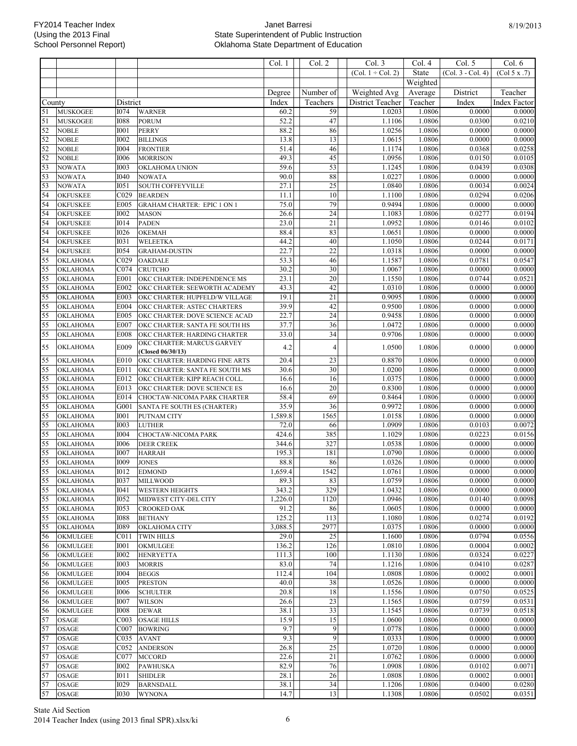|          |                                    |                                 |                                                                 | Col. 1          | Col. 2                | Col. 3                 | Col. 4           | Col. 5            | Col. 6              |
|----------|------------------------------------|---------------------------------|-----------------------------------------------------------------|-----------------|-----------------------|------------------------|------------------|-------------------|---------------------|
|          |                                    |                                 |                                                                 |                 |                       | $(Col. 1 \div Col. 2)$ | State            | (Col. 3 - Col. 4) | (Col 5 x .7)        |
|          |                                    |                                 |                                                                 |                 |                       |                        | Weighted         |                   |                     |
|          |                                    |                                 |                                                                 | Degree          | Number of             | Weighted Avg           | Average          | District          | Teacher             |
| County   |                                    | District                        |                                                                 | Index           | Teachers              | District Teacher       | Teacher          | Index             | <b>Index Factor</b> |
| 51       | <b>MUSKOGEE</b>                    | <b>I074</b>                     | <b>WARNER</b>                                                   | 60.2            | 59                    | 1.0203                 | 1.0806           | 0.0000            | 0.0000              |
| 51       | <b>MUSKOGEE</b>                    | 1088                            | <b>PORUM</b>                                                    | 52.2            | 47                    | 1.1106                 | 1.0806           | 0.0300            | 0.0210              |
| 52       | <b>NOBLE</b>                       | I001                            | <b>PERRY</b>                                                    | 88.2            | 86                    | 1.0256                 | 1.0806           | 0.0000            | 0.0000              |
| 52       | <b>NOBLE</b>                       | <b>I002</b>                     | <b>BILLINGS</b>                                                 | 13.8            | 13                    | 1.0615                 | 1.0806           | 0.0000            | 0.0000              |
| 52       | <b>NOBLE</b>                       | 1004                            | <b>FRONTIER</b>                                                 | 51.4            | 46                    | 1.1174                 | 1.0806           | 0.0368            | 0.0258              |
| 52       | <b>NOBLE</b>                       | <b>I006</b>                     | <b>MORRISON</b>                                                 | 49.3            | 45                    | 1.0956                 | 1.0806           | 0.0150            | 0.0105              |
| 53<br>53 | <b>NOWATA</b>                      | 1003<br><b>I040</b>             | <b>OKLAHOMA UNION</b>                                           | 59.6<br>90.0    | $\overline{53}$<br>88 | 1.1245<br>1.0227       | 1.0806<br>1.0806 | 0.0439<br>0.0000  | 0.0308<br>0.0000    |
| 53       | <b>NOWATA</b><br><b>NOWATA</b>     | <b>I051</b>                     | <b>NOWATA</b><br>SOUTH COFFEYVILLE                              | 27.1            | $\overline{25}$       | 1.0840                 | 1.0806           | 0.0034            | 0.0024              |
| 54       | <b>OKFUSKEE</b>                    | CO <sub>29</sub>                | <b>BEARDEN</b>                                                  | 11.1            | $\overline{10}$       | 1.1100                 | 1.0806           | 0.0294            | 0.0206              |
| 54       | <b>OKFUSKEE</b>                    | E005                            | <b>GRAHAM CHARTER: EPIC 1 ON 1</b>                              | 75.0            | 79                    | 0.9494                 | 1.0806           | 0.0000            | 0.0000              |
| 54       | <b>OKFUSKEE</b>                    | <b>I002</b>                     | <b>MASON</b>                                                    | 26.6            | $\overline{24}$       | 1.1083                 | 1.0806           | 0.0277            | 0.0194              |
| 54       | <b>OKFUSKEE</b>                    | <b>I014</b>                     | <b>PADEN</b>                                                    | 23.0            | $\overline{21}$       | 1.0952                 | 1.0806           | 0.0146            | 0.0102              |
| 54       | <b>OKFUSKEE</b>                    | <b>I026</b>                     | OKEMAH                                                          | 88.4            | 83                    | 1.0651                 | 1.0806           | 0.0000            | 0.0000              |
| 54       | <b>OKFUSKEE</b>                    | <b>I031</b>                     | <b>WELEETKA</b>                                                 | 44.2            | 40                    | 1.1050                 | 1.0806           | 0.0244            | 0.0171              |
| 54       | <b>OKFUSKEE</b>                    | <b>I054</b>                     | <b>GRAHAM-DUSTIN</b>                                            | 22.7            | 22                    | 1.0318                 | 1.0806           | 0.0000            | 0.0000              |
| 55       | OKLAHOMA                           | CO29                            | <b>OAKDALE</b>                                                  | 53.3            | 46                    | 1.1587                 | 1.0806           | 0.0781            | 0.0547              |
| 55       | OKLAHOMA                           | C074                            | <b>CRUTCHO</b>                                                  | 30.2            | $\overline{30}$       | 1.0067                 | 1.0806           | 0.0000            | 0.0000              |
| 55       | OKLAHOMA                           | E001                            | OKC CHARTER: INDEPENDENCE MS                                    | 23.1            | $\overline{20}$       | 1.1550                 | 1.0806           | 0.0744            | 0.0521              |
| 55<br>55 | OKLAHOMA<br>OKLAHOMA               | E002<br>E003                    | OKC CHARTER: SEEWORTH ACADEMY<br>OKC CHARTER: HUPFELD/W VILLAGE | 43.3<br>19.1    | 42<br>$\overline{21}$ | 1.0310<br>0.9095       | 1.0806<br>1.0806 | 0.0000<br>0.0000  | 0.0000<br>0.0000    |
| 55       | OKLAHOMA                           | E004                            | OKC CHARTER: ASTEC CHARTERS                                     | 39.9            | 42                    | 0.9500                 | 1.0806           | 0.0000            | 0.0000              |
| 55       | <b>OKLAHOMA</b>                    | E005                            | OKC CHARTER: DOVE SCIENCE ACAD                                  | 22.7            | $\overline{24}$       | 0.9458                 | 1.0806           | 0.0000            | 0.0000              |
| 55       | <b>OKLAHOMA</b>                    | E007                            | OKC CHARTER: SANTA FE SOUTH HS                                  | 37.7            | $\overline{36}$       | 1.0472                 | 1.0806           | 0.0000            | 0.0000              |
| 55       | OKLAHOMA                           | E008                            | OKC CHARTER: HARDING CHARTER                                    | 33.0            | $\overline{34}$       | 0.9706                 | 1.0806           | 0.0000            | 0.0000              |
| 55       | OKLAHOMA                           | E009                            | OKC CHARTER: MARCUS GARVEY<br>(Closed 06/30/13)                 | 4.2             | 4                     | 1.0500                 | 1.0806           | 0.0000            | 0.0000              |
| 55       | <b>OKLAHOMA</b>                    | E010                            | OKC CHARTER: HARDING FINE ARTS                                  | 20.4            | 23                    | 0.8870                 | 1.0806           | 0.0000            | 0.0000              |
| 55       | OKLAHOMA                           | E011                            | OKC CHARTER: SANTA FE SOUTH MS                                  | 30.6            | $\overline{30}$       | 1.0200                 | 1.0806           | 0.0000            | 0.0000              |
| 55       | OKLAHOMA                           | E012                            | OKC CHARTER: KIPP REACH COLL.                                   | 16.6            | 16                    | 1.0375                 | 1.0806           | 0.0000            | 0.0000              |
| 55       | OKLAHOMA                           | E013                            | OKC CHARTER: DOVE SCIENCE ES                                    | 16.6<br>58.4    | $\overline{20}$<br>69 | 0.8300                 | 1.0806           | 0.0000            | 0.0000<br>0.0000    |
| 55<br>55 | OKLAHOMA<br>OKLAHOMA               | E014<br>G001                    | CHOCTAW-NICOMA PARK CHARTER<br>SANTA FE SOUTH ES (CHARTER)      | 35.9            | 36                    | 0.8464<br>0.9972       | 1.0806<br>1.0806 | 0.0000<br>0.0000  | 0.0000              |
| 55       | OKLAHOMA                           | I001                            | PUTNAM CITY                                                     | 1,589.8         | 1565                  | 1.0158                 | 1.0806           | 0.0000            | 0.0000              |
| 55       | OKLAHOMA                           | <b>I003</b>                     | <b>LUTHER</b>                                                   | 72.0            | 66                    | 1.0909                 | 1.0806           | 0.0103            | 0.0072              |
| 55       | OKLAHOMA                           | <b>I004</b>                     | CHOCTAW-NICOMA PARK                                             | 424.6           | 385                   | 1.1029                 | 1.0806           | 0.0223            | 0.0156              |
| 55       | <b>OKLAHOMA</b>                    | <b>I006</b>                     | <b>DEER CREEK</b>                                               | 344.6           | 327                   | 1.0538                 | 1.0806           | 0.0000            | 0.0000              |
| 55       | OKLAHOMA                           | <b>I007</b>                     | <b>HARRAH</b>                                                   | 195.3           | 181                   | 1.0790                 | 1.0806           | 0.0000            | 0.0000              |
| 55       | <b>OKLAHOMA</b>                    | <b>I009</b>                     | <b>JONES</b>                                                    | 88.8            | 86                    | 1.0326                 | 1.0806           | 0.0000            | 0.0000              |
| 55       | OKLAHOMA                           | <b>I012</b>                     | <b>EDMOND</b>                                                   | 1,659.4         | 1542                  | 1.0761                 | 1.0806           | 0.0000            | 0.0000              |
| 55       | <b>OKLAHOMA</b>                    | 1037                            | <b>MILLWOOD</b>                                                 | 89.3            | 83                    | 1.0759                 | 1.0806           | 0.0000            | 0.0000              |
| 55       | <b>OKLAHOMA</b>                    | I041                            | <b>WESTERN HEIGHTS</b>                                          | 343.2           | 329                   | 1.0432                 | 1.0806           | 0.0000            | 0.0000              |
| 55<br>55 | <b>OKLAHOMA</b><br><b>OKLAHOMA</b> | <b>I052</b><br><b>I053</b>      | MIDWEST CITY-DEL CITY<br><b>CROOKED OAK</b>                     | 1,226.0<br>91.2 | 1120<br>86            | 1.0946<br>1.0605       | 1.0806<br>1.0806 | 0.0140<br>0.0000  | 0.0098<br>0.0000    |
| 55       | OKLAHOMA                           | 1088                            | <b>BETHANY</b>                                                  | 125.2           | 113                   | 1.1080                 | 1.0806           | 0.0274            | 0.0192              |
| 55       | <b>OKLAHOMA</b>                    | <b>I089</b>                     | <b>OKLAHOMA CITY</b>                                            | 3,088.5         | 2977                  | 1.0375                 | 1.0806           | 0.0000            | 0.0000              |
| 56       | <b>OKMULGEE</b>                    | C <sub>011</sub>                | <b>TWIN HILLS</b>                                               | 29.0            | 25                    | 1.1600                 | 1.0806           | 0.0794            | 0.0556              |
| 56       | <b>OKMULGEE</b>                    | I001                            | OKMULGEE                                                        | 136.2           | 126                   | 1.0810                 | 1.0806           | 0.0004            | 0.0002              |
| 56       | <b>OKMULGEE</b>                    | <b>I002</b>                     | <b>HENRYETTA</b>                                                | 111.3           | 100                   | 1.1130                 | 1.0806           | 0.0324            | 0.0227              |
| 56       | <b>OKMULGEE</b>                    | <b>I003</b>                     | <b>MORRIS</b>                                                   | 83.0            | 74                    | 1.1216                 | 1.0806           | 0.0410            | 0.0287              |
| 56       | <b>OKMULGEE</b>                    | <b>I004</b>                     | <b>BEGGS</b>                                                    | 112.4           | 104                   | 1.0808                 | 1.0806           | 0.0002            | 0.0001              |
| 56       | OKMULGEE                           | <b>I005</b>                     | <b>PRESTON</b>                                                  | 40.0            | 38                    | 1.0526                 | 1.0806           | 0.0000            | 0.0000              |
| 56       | <b>OKMULGEE</b>                    | <b>I006</b>                     | <b>SCHULTER</b>                                                 | 20.8            | $18\,$                | 1.1556                 | 1.0806           | 0.0750            | 0.0525              |
| 56<br>56 | <b>OKMULGEE</b>                    | <b>I007</b>                     | <b>WILSON</b>                                                   | 26.6            | 23<br>33              | 1.1565                 | 1.0806           | 0.0759            | 0.0531              |
| 57       | OKMULGEE<br><b>OSAGE</b>           | <b>I008</b><br>CO <sub>03</sub> | <b>DEWAR</b><br><b>OSAGE HILLS</b>                              | 38.1<br>15.9    | 15                    | 1.1545<br>1.0600       | 1.0806<br>1.0806 | 0.0739<br>0.0000  | 0.0518<br>0.0000    |
| 57       | <b>OSAGE</b>                       | COO7                            | <b>BOWRING</b>                                                  | 9.7             | 9                     | 1.0778                 | 1.0806           | 0.0000            | 0.0000              |
| 57       | <b>OSAGE</b>                       | C035                            | <b>AVANT</b>                                                    | 9.3             | 9                     | 1.0333                 | 1.0806           | 0.0000            | 0.0000              |
| 57       | <b>OSAGE</b>                       | C <sub>052</sub>                | <b>ANDERSON</b>                                                 | 26.8            | 25                    | 1.0720                 | 1.0806           | 0.0000            | 0.0000              |
| 57       | <b>OSAGE</b>                       | C077                            | <b>MCCORD</b>                                                   | 22.6            | 21                    | 1.0762                 | 1.0806           | 0.0000            | 0.0000              |
| 57       | <b>OSAGE</b>                       | <b>I002</b>                     | <b>PAWHUSKA</b>                                                 | 82.9            | $76\,$                | 1.0908                 | 1.0806           | 0.0102            | 0.0071              |
| 57       | <b>OSAGE</b>                       | <b>IO11</b>                     | <b>SHIDLER</b>                                                  | 28.1            | 26                    | 1.0808                 | 1.0806           | 0.0002            | 0.0001              |
| 57       | OSAGE                              | <b>I029</b>                     | <b>BARNSDALL</b>                                                | 38.1            | 34                    | 1.1206                 | 1.0806           | 0.0400            | 0.0280              |
| 57       | <b>OSAGE</b>                       | <b>I030</b>                     | <b>WYNONA</b>                                                   | 14.7            | 13                    | 1.1308                 | 1.0806           | 0.0502            | 0.0351              |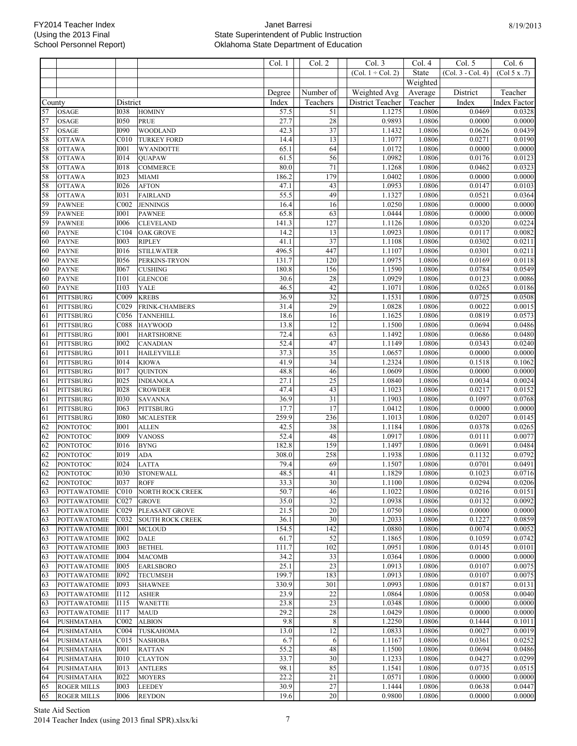Col. 1 | | Col. 2 | | Col. 3 | Col. 4 | Col. 5 | Col. 6

|        |                     |                  |                                       |        |                 | (Col. $1 \div$ Col. 2) | State    | $(Col. 3 - Col. 4)$ $(Col. 5 x .7)$ |                     |
|--------|---------------------|------------------|---------------------------------------|--------|-----------------|------------------------|----------|-------------------------------------|---------------------|
|        |                     |                  |                                       |        |                 |                        | Weighted |                                     |                     |
|        |                     |                  |                                       | Degree | Number of       | Weighted Avg           | Average  | District                            | Teacher             |
| County |                     | District         |                                       | Index  | Teachers        | District Teacher       | Teacher  | Index                               | Index Factor        |
| 57     | <b>OSAGE</b>        | 1038             | <b>HOMINY</b>                         | 57.5   | 51              | 1.1275                 | 1.0806   | 0.0469                              | 0.0328              |
| 57     | <b>OSAGE</b>        | <b>I050</b>      | <b>PRUE</b>                           | 27.7   | $28\,$          | 0.9893                 | 1.0806   | 0.0000                              | 0.0000              |
| 57     | <b>OSAGE</b>        | <b>I090</b>      | <b>WOODLAND</b>                       | 42.3   | $\overline{37}$ | 1.1432                 | 1.0806   | 0.0626                              | 0.0439              |
| 58     | <b>OTTAWA</b>       | C <sub>010</sub> | <b>TURKEY FORD</b>                    | 14.4   | 13              | 1.1077                 | 1.0806   | 0.0271                              | 0.0190              |
| 58     | <b>OTTAWA</b>       | <b>I001</b>      | <b>WYANDOTTE</b>                      | 65.1   | 64              | 1.0172                 | 1.0806   | 0.0000                              | 0.0000              |
| 58     | <b>OTTAWA</b>       | <b>I014</b>      | <b>QUAPAW</b>                         | 61.5   | 56              | 1.0982                 | 1.0806   | 0.0176                              | 0.0123              |
| 58     | <b>OTTAWA</b>       | 1018             | <b>COMMERCE</b>                       | 80.0   | $71\,$          | 1.1268                 | 1.0806   | 0.0462                              | 0.0323              |
| 58     | <b>OTTAWA</b>       | <b>I023</b>      | <b>MIAMI</b>                          | 186.2  | 179             | 1.0402                 | 1.0806   | 0.0000                              | 0.0000              |
| 58     | <b>OTTAWA</b>       | 1026             | <b>AFTON</b>                          | 47.1   | 43              | 1.0953                 | 1.0806   | 0.0147                              | 0.0103              |
| 58     | <b>OTTAWA</b>       | <b>I031</b>      | <b>FAIRLAND</b>                       | 55.5   | 49              | 1.1327                 | 1.0806   | 0.0521                              | 0.0364              |
| 59     | <b>PAWNEE</b>       | C002             | <b>JENNINGS</b>                       | 16.4   | 16              | 1.0250                 | 1.0806   | 0.0000                              | 0.0000              |
| 59     | <b>PAWNEE</b>       | <b>I001</b>      | <b>PAWNEE</b>                         | 65.8   | 63              | 1.0444                 | 1.0806   | 0.0000                              | 0.0000              |
| 59     | <b>PAWNEE</b>       | 1006             | <b>CLEVELAND</b>                      | 141.3  | 127             | 1.1126                 | 1.0806   | 0.0320                              | 0.0224              |
| 60     | <b>PAYNE</b>        | C104             | <b>OAK GROVE</b>                      | 14.2   | 13              | 1.0923                 | 1.0806   | 0.0117                              | 0.0082              |
| 60     | <b>PAYNE</b>        | 1003             | <b>RIPLEY</b>                         | 41.1   | 37              | 1.1108                 | 1.0806   | 0.0302                              | 0.0211              |
| 60     | <b>PAYNE</b>        | <b>I016</b>      | <b>STILLWATER</b>                     | 496.5  | 447             | 1.1107                 | 1.0806   | 0.0301                              | 0.0211              |
| 60     | <b>PAYNE</b>        | <b>I056</b>      | PERKINS-TRYON                         | 131.7  | 120             | 1.0975                 | 1.0806   | 0.0169                              | 0.0118              |
| 60     | <b>PAYNE</b>        | I067             | <b>CUSHING</b>                        | 180.8  | 156             | 1.1590                 | 1.0806   | 0.0784                              | 0.0549              |
| 60     | <b>PAYNE</b>        | <b>I101</b>      | <b>GLENCOE</b>                        | 30.6   | 28              | 1.0929                 | 1.0806   | 0.0123                              | 0.0086              |
| 60     | <b>PAYNE</b>        | <b>I103</b>      | YALE                                  | 46.5   | 42              | 1.1071                 | 1.0806   | 0.0265                              | 0.0186              |
| 61     | <b>PITTSBURG</b>    | C009             | <b>KREBS</b>                          | 36.9   | $\overline{32}$ | 1.1531                 | 1.0806   | 0.0725                              | 0.0508              |
| 61     | PITTSBURG           | C029             | <b>FRINK-CHAMBERS</b>                 | 31.4   | 29              | 1.0828                 | 1.0806   | 0.0022                              | $\overline{0.0015}$ |
| 61     | PITTSBURG           | C056             | <b>TANNEHILL</b>                      | 18.6   | 16              | 1.1625                 | 1.0806   | 0.0819                              | 0.0573              |
| 61     | PITTSBURG           | C088             | <b>HAYWOOD</b>                        | 13.8   | 12              | 1.1500                 | 1.0806   | 0.0694                              | 0.0486              |
| 61     | <b>PITTSBURG</b>    | <b>I001</b>      | <b>HARTSHORNE</b>                     | 72.4   | 63              | 1.1492                 | 1.0806   | 0.0686                              | 0.0480              |
| 61     | PITTSBURG           | 1002             | CANADIAN                              | 52.4   | 47              | 1.1149                 | 1.0806   | 0.0343                              | 0.0240              |
| 61     | PITTSBURG           | I011             | <b>HAILEYVILLE</b>                    | 37.3   | 35              | 1.0657                 | 1.0806   | 0.0000                              | 0.0000              |
| 61     | PITTSBURG           | <b>I014</b>      | <b>KIOWA</b>                          | 41.9   | $\overline{34}$ | 1.2324                 | 1.0806   | 0.1518                              | 0.1062              |
| 61     | <b>PITTSBURG</b>    | <b>I017</b>      | <b>QUINTON</b>                        | 48.8   | 46              | 1.0609                 | 1.0806   | 0.0000                              | 0.0000              |
| 61     | PITTSBURG           | 1025             | <b>INDIANOLA</b>                      | 27.1   | 25              | 1.0840                 | 1.0806   | 0.0034                              | 0.0024              |
| 61     | PITTSBURG           | 1028             | <b>CROWDER</b>                        | 47.4   | 43              | 1.1023                 | 1.0806   | 0.0217                              | 0.0152              |
| 61     | PITTSBURG           | 1030             | <b>SAVANNA</b>                        | 36.9   | 31              | 1.1903                 | 1.0806   | 0.1097                              | 0.0768              |
| 61     | PITTSBURG           | 1063             | PITTSBURG                             | 17.7   | 17              | 1.0412                 | 1.0806   | 0.0000                              | $\overline{0.0000}$ |
| 61     | PITTSBURG           | 1080             | <b>MCALESTER</b>                      | 259.9  | 236             | 1.1013                 | 1.0806   | 0.0207                              | 0.0145              |
| 62     | <b>PONTOTOC</b>     | <b>I001</b>      | <b>ALLEN</b>                          | 42.5   | 38              | 1.1184                 | 1.0806   | 0.0378                              | 0.0265              |
| 62     | <b>PONTOTOC</b>     | <b>I009</b>      | <b>VANOSS</b>                         | 52.4   | 48              | 1.0917                 | 1.0806   | 0.0111                              | 0.0077              |
| 62     | <b>PONTOTOC</b>     | <b>I016</b>      | <b>BYNG</b>                           | 182.8  | 159             | 1.1497                 | 1.0806   | 0.0691                              | 0.0484              |
| 62     | <b>PONTOTOC</b>     | <b>I019</b>      | <b>ADA</b>                            | 308.0  | 258             | 1.1938                 | 1.0806   | 0.1132                              | 0.0792              |
| 62     | <b>PONTOTOC</b>     | 1024             | <b>LATTA</b>                          | 79.4   | 69              | 1.1507                 | 1.0806   | 0.0701                              | 0.0491              |
| 62     | <b>PONTOTOC</b>     | 1030             | <b>STONEWALL</b>                      | 48.5   | 41              | 1.1829                 | 1.0806   | 0.1023                              | 0.0716              |
| 62     | <b>PONTOTOC</b>     | 1037             | <b>ROFF</b>                           | 33.3   | 30              | 1.1100                 | 1.0806   | 0.0294                              | 0.0206              |
|        |                     |                  | 63 POTTAWATOMIE C010 NORTH ROCK CREEK | 50.7   | $46\text{ }$    | 1.1022                 | 1.0806   | 0.0216                              | 0.0151              |
| 63     | <b>POTTAWATOMIE</b> | CO27             | <b>GROVE</b>                          | 35.0   | 32              | 1.0938                 | 1.0806   | 0.0132                              | 0.0092              |
| 63     | POTTAWATOMIE        | C <sub>029</sub> | PLEASANT GROVE                        | 21.5   | 20              | 1.0750                 | 1.0806   | 0.0000                              | 0.0000              |
| 63     | <b>POTTAWATOMIE</b> | C032             | <b>SOUTH ROCK CREEK</b>               | 36.1   | 30              | 1.2033                 | 1.0806   | 0.1227                              | 0.0859              |
| 63     | <b>POTTAWATOMIE</b> | <b>I001</b>      | <b>MCLOUD</b>                         | 154.5  | 142             | 1.0880                 | 1.0806   | 0.0074                              | 0.0052              |
| 63     | <b>POTTAWATOMIE</b> | <b>I002</b>      | <b>DALE</b>                           | 61.7   | 52              | 1.1865                 | 1.0806   | 0.1059                              | 0.0742              |
| 63     | <b>POTTAWATOMIE</b> | 1003             | <b>BETHEL</b>                         | 111.7  | 102             | 1.0951                 | 1.0806   | 0.0145                              | 0.0101              |
| 63     | <b>POTTAWATOMIE</b> | <b>I004</b>      | <b>MACOMB</b>                         | 34.2   | 33              | 1.0364                 | 1.0806   | 0.0000                              | 0.0000              |
| 63     | <b>POTTAWATOMIE</b> | 1005             | <b>EARLSBORO</b>                      | 25.1   | 23              | 1.0913                 | 1.0806   | 0.0107                              | 0.0075              |
| 63     | <b>POTTAWATOMIE</b> | 1092             | <b>TECUMSEH</b>                       | 199.7  | 183             | 1.0913                 | 1.0806   | 0.0107                              | 0.0075              |
| 63     | <b>POTTAWATOMIE</b> | 1093             | <b>SHAWNEE</b>                        | 330.9  | 301             | 1.0993                 | 1.0806   | 0.0187                              | 0.0131              |
| 63     | <b>POTTAWATOMIE</b> | I112             | <b>ASHER</b>                          | 23.9   | 22              | 1.0864                 | 1.0806   | 0.0058                              | 0.0040              |
| 63     | POTTAWATOMIE        | I115             | <b>WANETTE</b>                        | 23.8   | 23              | 1.0348                 | 1.0806   | 0.0000                              | 0.0000              |
| 63     | POTTAWATOMIE        | I117             | <b>MAUD</b>                           | 29.2   | 28              | 1.0429                 | 1.0806   | 0.0000                              | 0.0000              |
| 64     | PUSHMATAHA          | C <sub>002</sub> | <b>ALBION</b>                         | 9.8    | 8               | 1.2250                 | 1.0806   | 0.1444                              | 0.1011              |
| 64     | PUSHMATAHA          | C <sub>004</sub> | <b>TUSKAHOMA</b>                      | 13.0   | 12              | 1.0833                 | 1.0806   | 0.0027                              | 0.0019              |
| 64     | PUSHMATAHA          | C015             | <b>NASHOBA</b>                        | 6.7    | 6               | 1.1167                 | 1.0806   | 0.0361                              | 0.0252              |
| 64     | PUSHMATAHA          | <b>I001</b>      | <b>RATTAN</b>                         | 55.2   | 48              | 1.1500                 | 1.0806   | 0.0694                              | 0.0486              |
| 64     | PUSHMATAHA          | <b>I010</b>      | <b>CLAYTON</b>                        | 33.7   | 30              | 1.1233                 | 1.0806   | 0.0427                              | 0.0299              |
| 64     | PUSHMATAHA          | I013             | <b>ANTLERS</b>                        | 98.1   | 85              | 1.1541                 | 1.0806   | 0.0735                              | 0.0515              |
| 64     | PUSHMATAHA          | <b>I022</b>      | <b>MOYERS</b>                         | 22.2   | 21              | 1.0571                 | 1.0806   | 0.0000                              | 0.0000              |
| 65     | <b>ROGER MILLS</b>  | <b>I003</b>      | <b>LEEDEY</b>                         | 30.9   | 27              | 1.1444                 | 1.0806   | 0.0638                              | 0.0447              |
| 65     | <b>ROGER MILLS</b>  | 1006             | <b>REYDON</b>                         | 19.6   | $20\,$          | 0.9800                 | 1.0806   | 0.0000                              | 0.0000              |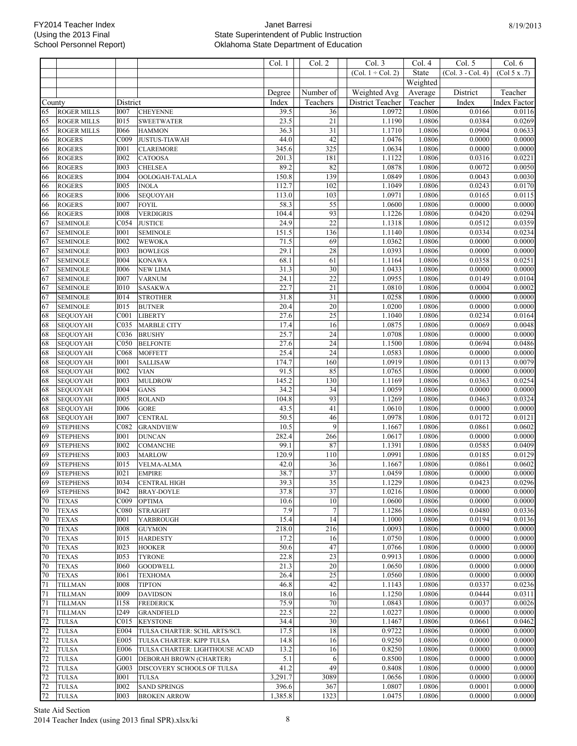|          |                                    |                     |                                   | Col. 1       | Col. 2                | Col. 3              | Col. 4           | Col. 5            | Col. 6              |
|----------|------------------------------------|---------------------|-----------------------------------|--------------|-----------------------|---------------------|------------------|-------------------|---------------------|
|          |                                    |                     |                                   |              |                       | (Col. $1 +$ Col. 2) | State            | (Col. 3 - Col. 4) | (Col 5 x .7)        |
|          |                                    |                     |                                   |              |                       |                     | Weighted         |                   |                     |
|          |                                    |                     |                                   | Degree       | Number of             | Weighted Avg        | Average          | District          | Teacher             |
| County   |                                    | District            |                                   | Index        | Teachers              | District Teacher    | Teacher          | Index             | Index Factor        |
| 65       | <b>ROGER MILLS</b>                 | 1007                | <b>CHEYENNE</b>                   | 39.5         | 36                    | 1.0972              | 1.0806           | 0.0166            | 0.0116              |
| 65       | <b>ROGER MILLS</b>                 | 1015                | <b>SWEETWATER</b>                 | 23.5         | $\overline{21}$       | 1.1190              | 1.0806           | 0.0384            | 0.0269              |
| 65       | <b>ROGER MILLS</b>                 | 1066                | <b>HAMMON</b>                     | 36.3         | 31                    | 1.1710              | 1.0806           | 0.0904            | 0.0633              |
| 66       | <b>ROGERS</b>                      | C009                | <b>JUSTUS-TIAWAH</b>              | 44.0         | 42                    | 1.0476              | 1.0806           | 0.0000            | 0.0000              |
| 66       | <b>ROGERS</b>                      | <b>I001</b>         | <b>CLAREMORE</b>                  | 345.6        | 325                   | 1.0634              | 1.0806           | 0.0000            | 0.0000              |
| 66       | <b>ROGERS</b>                      | 1002                | <b>CATOOSA</b>                    | 201.3        | 181                   | 1.1122              | 1.0806           | 0.0316            | 0.0221              |
| 66       | <b>ROGERS</b>                      | 1003                | <b>CHELSEA</b>                    | 89.2         | 82                    | 1.0878              | 1.0806           | 0.0072            | 0.0050              |
| 66       | <b>ROGERS</b>                      | <b>I004</b>         | OOLOGAH-TALALA                    | 150.8        | 139                   | 1.0849              | 1.0806           | 0.0043            | 0.0030              |
| 66       | <b>ROGERS</b>                      | 1005                | <b>INOLA</b>                      | 112.7        | 102                   | 1.1049              | 1.0806           | 0.0243            | 0.0170              |
| 66       | <b>ROGERS</b>                      | 1006                | <b>SEQUOYAH</b>                   | 113.0        | 103                   | 1.0971              | 1.0806           | 0.0165            | 0.0115              |
| 66       | <b>ROGERS</b>                      | 1007                | <b>FOYIL</b>                      | 58.3         | 55                    | 1.0600              | 1.0806           | 0.0000            | 0.0000              |
| 66       | <b>ROGERS</b>                      | 1008                | <b>VERDIGRIS</b>                  | 104.4        | 93                    | 1.1226              | 1.0806           | 0.0420            | 0.0294              |
| 67       | <b>SEMINOLE</b>                    | C054                | <b>JUSTICE</b>                    | 24.9         | $\overline{22}$       | 1.1318              | 1.0806           | 0.0512            | 0.0359              |
| 67       | <b>SEMINOLE</b>                    | <b>I001</b>         | <b>SEMINOLE</b>                   | 151.5        | 136                   | 1.1140              | 1.0806           | 0.0334            | 0.0234              |
| 67       | <b>SEMINOLE</b>                    | 1002                | <b>WEWOKA</b>                     | 71.5         | 69                    | 1.0362              | 1.0806           | 0.0000            | 0.0000              |
| 67       | <b>SEMINOLE</b>                    | 1003                | <b>BOWLEGS</b>                    | 29.1         | 28                    | 1.0393              | 1.0806           | 0.0000            | 0.0000              |
| 67       | <b>SEMINOLE</b>                    | <b>I004</b>         | <b>KONAWA</b>                     | 68.1         | 61                    | 1.1164              | 1.0806           | 0.0358            | 0.0251              |
| 67       | <b>SEMINOLE</b>                    | 1006                | <b>NEW LIMA</b>                   | 31.3         | 30                    | 1.0433              | 1.0806           | 0.0000            | 0.0000              |
| 67       | <b>SEMINOLE</b>                    | 1007                | <b>VARNUM</b>                     | 24.1         | $\overline{22}$       | 1.0955              | 1.0806           | 0.0149            | 0.0104              |
| 67       | <b>SEMINOLE</b>                    | 1010                | <b>SASAKWA</b>                    | 22.7         | $21\,$                | 1.0810              | 1.0806           | 0.0004            | 0.0002              |
| 67       | <b>SEMINOLE</b>                    | <b>I014</b>         | <b>STROTHER</b>                   | 31.8         | 31                    | 1.0258              | 1.0806           | 0.0000            | 0.0000              |
| 67       | <b>SEMINOLE</b>                    | <b>I015</b>         | <b>BUTNER</b>                     | 20.4         | $\overline{20}$       | 1.0200              | 1.0806           | 0.0000            | 0.0000              |
| 68       | <b>SEQUOYAH</b>                    | C <sub>001</sub>    | <b>LIBERTY</b>                    | 27.6         | 25                    | 1.1040              | 1.0806           | 0.0234            | 0.0164              |
| 68       | <b>SEQUOYAH</b>                    | C035                | <b>MARBLE CITY</b>                | 17.4         | 16                    | 1.0875              | 1.0806           | 0.0069            | 0.0048              |
| 68       | <b>SEQUOYAH</b>                    | C036                | <b>BRUSHY</b>                     | 25.7         | $\overline{24}$       | 1.0708              | 1.0806           | 0.0000            | 0.0000              |
| 68       | <b>SEQUOYAH</b>                    | C050                | <b>BELFONTE</b>                   | 27.6<br>25.4 | 24<br>$\overline{24}$ | 1.1500<br>1.0583    | 1.0806<br>1.0806 | 0.0694<br>0.0000  | 0.0486              |
| 68<br>68 | <b>SEQUOYAH</b>                    | C068<br><b>I001</b> | <b>MOFFETT</b>                    | 174.7        | 160                   | 1.0919              | 1.0806           | 0.0113            | 0.0000<br>0.0079    |
| 68       | <b>SEQUOYAH</b>                    | 1002                | <b>SALLISAW</b><br><b>VIAN</b>    | 91.5         | 85                    | 1.0765              | 1.0806           | 0.0000            |                     |
| 68       | <b>SEQUOYAH</b>                    | 1003                |                                   | 145.2        | 130                   | 1.1169              | 1.0806           | 0.0363            | 0.0000<br>0.0254    |
| 68       | <b>SEQUOYAH</b><br><b>SEQUOYAH</b> | <b>I004</b>         | <b>MULDROW</b><br><b>GANS</b>     | 34.2         | 34                    | 1.0059              | 1.0806           | 0.0000            | 0.0000              |
| 68       | <b>SEQUOYAH</b>                    | 1005                | <b>ROLAND</b>                     | 104.8        | 93                    | 1.1269              | 1.0806           | 0.0463            | 0.0324              |
| 68       | <b>SEQUOYAH</b>                    | 1006                | <b>GORE</b>                       | 43.5         | 41                    | 1.0610              | 1.0806           | 0.0000            | 0.0000              |
| 68       | <b>SEQUOYAH</b>                    | 1007                | <b>CENTRAL</b>                    | 50.5         | 46                    | 1.0978              | 1.0806           | 0.0172            | 0.0121              |
| 69       | <b>STEPHENS</b>                    | C082                | <b>GRANDVIEW</b>                  | 10.5         | 9                     | 1.1667              | 1.0806           | 0.0861            | 0.0602              |
| 69       | <b>STEPHENS</b>                    | <b>I001</b>         | <b>DUNCAN</b>                     | 282.4        | 266                   | 1.0617              | 1.0806           | 0.0000            | 0.0000              |
| 69       | <b>STEPHENS</b>                    | <b>I002</b>         | <b>COMANCHE</b>                   | 99.1         | 87                    | 1.1391              | 1.0806           | 0.0585            | 0.0409              |
| 69       | <b>STEPHENS</b>                    | 1003                | <b>MARLOW</b>                     | 120.9        | 110                   | 1.0991              | 1.0806           | 0.0185            | $\overline{0.0129}$ |
| 69       | <b>STEPHENS</b>                    | 1015                | <b>VELMA-ALMA</b>                 | 42.0         | 36                    | 1.1667              | 1.0806           | 0.0861            | 0.0602              |
| 69       | <b>STEPHENS</b>                    | <b>I021</b>         | <b>EMPIRE</b>                     | 38.7         | 37                    | 1.0459              | 1.0806           | 0.0000            | 0.0000              |
| 69       | <b>STEPHENS</b>                    |                     | <b>I034</b> CENTRAL HIGH          | 39.3         | 35                    | 1.1229              | 1.0806           | 0.0423            | 0.0296              |
| 69       | <b>STEPHENS</b>                    | <b>I042</b>         | <b>BRAY-DOYLE</b>                 | 37.8         | 37                    | 1.0216              | 1.0806           | 0.0000            | 0.0000              |
| 70       | <b>TEXAS</b>                       | C <sub>009</sub>    | <b>OPTIMA</b>                     | 10.6         | 10                    | 1.0600              | 1.0806           | 0.0000            | 0.0000              |
| 70       | <b>TEXAS</b>                       | C080                | <b>STRAIGHT</b>                   | 7.9          | $\tau$                | 1.1286              | 1.0806           | 0.0480            | 0.0336              |
| 70       | <b>TEXAS</b>                       | <b>I001</b>         | YARBROUGH                         | 15.4         | 14                    | 1.1000              | 1.0806           | 0.0194            | 0.0136              |
| 70       | <b>TEXAS</b>                       | 1008                | <b>GUYMON</b>                     | 218.0        | 216                   | 1.0093              | 1.0806           | 0.0000            | 0.0000              |
| 70       | <b>TEXAS</b>                       | I <sub>015</sub>    | <b>HARDESTY</b>                   | 17.2         | 16                    | 1.0750              | 1.0806           | 0.0000            | 0.0000              |
| 70       | <b>TEXAS</b>                       | <b>I023</b>         | <b>HOOKER</b>                     | 50.6         | 47                    | 1.0766              | 1.0806           | 0.0000            | 0.0000              |
| 70       | <b>TEXAS</b>                       | 1053                | <b>TYRONE</b>                     | 22.8         | 23                    | 0.9913              | 1.0806           | 0.0000            | 0.0000              |
| 70       | <b>TEXAS</b>                       | 1060                | <b>GOODWELL</b>                   | 21.3         | 20                    | 1.0650              | 1.0806           | 0.0000            | 0.0000              |
| 70       | <b>TEXAS</b>                       | <b>I061</b>         | <b>TEXHOMA</b>                    | 26.4         | 25                    | 1.0560              | 1.0806           | 0.0000            | 0.0000              |
| 71       | <b>TILLMAN</b>                     | 1008                | <b>TIPTON</b>                     | 46.8         | 42                    | 1.1143              | 1.0806           | 0.0337            | 0.0236              |
| 71       | <b>TILLMAN</b>                     | <b>I009</b>         | <b>DAVIDSON</b>                   | 18.0         | 16                    | 1.1250              | 1.0806           | 0.0444            | 0.0311              |
| 71       | <b>TILLMAN</b>                     | I158                | <b>FREDERICK</b>                  | 75.9         | $70\,$                | 1.0843              | 1.0806           | 0.0037            | 0.0026              |
| 71       | <b>TILLMAN</b>                     | I249                | <b>GRANDFIELD</b>                 | 22.5         | 22                    | 1.0227              | 1.0806           | 0.0000            | 0.0000              |
| 72       | <b>TULSA</b>                       | C <sub>015</sub>    | <b>KEYSTONE</b>                   | 34.4         | 30                    | 1.1467              | 1.0806           | 0.0661            | 0.0462              |
| 72       | <b>TULSA</b>                       | E004                | TULSA CHARTER: SCHL ARTS/SCI.     | 17.5         | 18                    | 0.9722              | 1.0806           | 0.0000            | 0.0000              |
| 72       | <b>TULSA</b>                       | E005                | TULSA CHARTER: KIPP TULSA         | 14.8         | 16                    | 0.9250              | 1.0806           | 0.0000            | 0.0000              |
| 72       | <b>TULSA</b>                       | E006                | TULSA CHARTER: LIGHTHOUSE ACAD    | 13.2         | 16                    | 0.8250              | 1.0806           | 0.0000            | 0.0000              |
| 72       | <b>TULSA</b>                       | G001                | DEBORAH BROWN (CHARTER)           | 5.1          | 6                     | 0.8500              | 1.0806           | 0.0000            | 0.0000              |
| 72       | <b>TULSA</b>                       | G003                | <b>DISCOVERY SCHOOLS OF TULSA</b> | 41.2         | 49                    | 0.8408              | 1.0806           | 0.0000            | 0.0000              |
| 72       | <b>TULSA</b>                       | <b>I001</b>         | <b>TULSA</b>                      | 3,291.7      | 3089                  | 1.0656              | 1.0806           | 0.0000            | 0.0000              |
| $72\,$   | <b>TULSA</b>                       | <b>I002</b>         | <b>SAND SPRINGS</b>               | 396.6        | 367                   | 1.0807              | 1.0806           | 0.0001            | 0.0000              |
| 72       | <b>TULSA</b>                       | 1003                | <b>BROKEN ARROW</b>               | 1,385.8      | 1323                  | 1.0475              | 1.0806           | 0.0000            | 0.0000              |